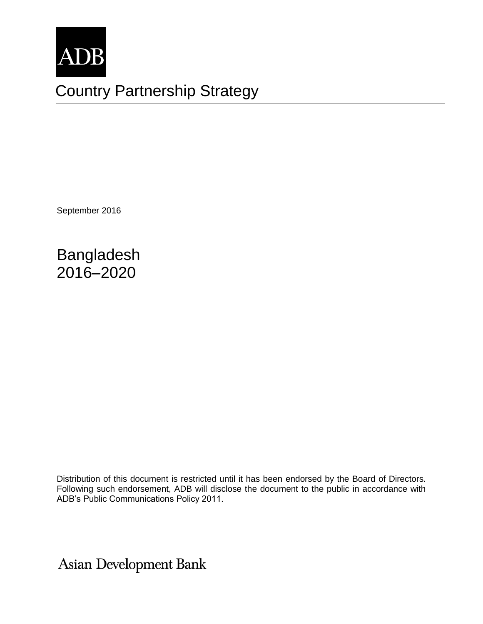

# Country Partnership Strategy

September 2016

Bangladesh 2016–2020

Distribution of this document is restricted until it has been endorsed by the Board of Directors. Following such endorsement, ADB will disclose the document to the public in accordance with ADB's Public Communications Policy 2011.

**Asian Development Bank**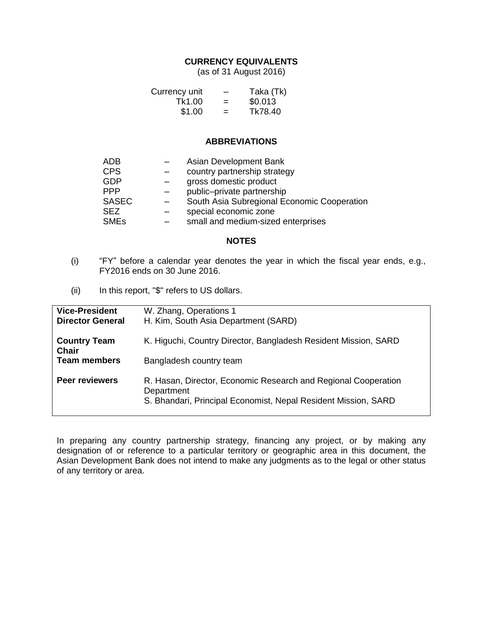#### **CURRENCY EQUIVALENTS**

(as of 31 August 2016)

| Currency unit | -   | Taka (Tk) |
|---------------|-----|-----------|
| Tk1.00        | $=$ | \$0.013   |
| \$1.00        | $=$ | Tk78.40   |

#### **ABBREVIATIONS**

| <b>ADB</b>   | Asian Development Bank                      |
|--------------|---------------------------------------------|
| <b>CPS</b>   | country partnership strategy                |
| <b>GDP</b>   | gross domestic product                      |
| <b>PPP</b>   | public-private partnership                  |
| <b>SASEC</b> | South Asia Subregional Economic Cooperation |
| <b>SEZ</b>   | special economic zone                       |
| <b>SMEs</b>  | small and medium-sized enterprises          |
|              |                                             |

#### **NOTES**

- (i) "FY" before a calendar year denotes the year in which the fiscal year ends, e.g., FY2016 ends on 30 June 2016.
- (ii) In this report, "\$" refers to US dollars.

| <b>Vice-President</b><br><b>Director General</b> | W. Zhang, Operations 1<br>H. Kim, South Asia Department (SARD)                                                                                 |
|--------------------------------------------------|------------------------------------------------------------------------------------------------------------------------------------------------|
| <b>Country Team</b><br><b>Chair</b>              | K. Higuchi, Country Director, Bangladesh Resident Mission, SARD                                                                                |
| <b>Team members</b>                              | Bangladesh country team                                                                                                                        |
| <b>Peer reviewers</b>                            | R. Hasan, Director, Economic Research and Regional Cooperation<br>Department<br>S. Bhandari, Principal Economist, Nepal Resident Mission, SARD |

In preparing any country partnership strategy, financing any project, or by making any designation of or reference to a particular territory or geographic area in this document, the Asian Development Bank does not intend to make any judgments as to the legal or other status of any territory or area.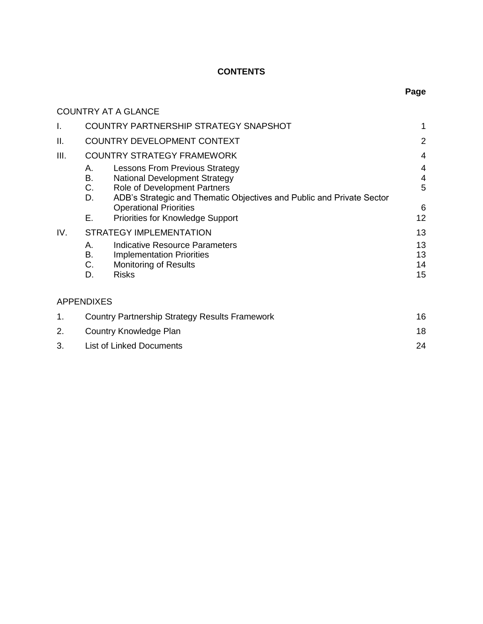# **CONTENTS**

|      |                         | <b>COUNTRY AT A GLANCE</b>                                            |                |  |  |
|------|-------------------------|-----------------------------------------------------------------------|----------------|--|--|
| I.   |                         | COUNTRY PARTNERSHIP STRATEGY SNAPSHOT                                 |                |  |  |
| Ш.   |                         | <b>COUNTRY DEVELOPMENT CONTEXT</b>                                    | $\overline{2}$ |  |  |
| III. |                         | <b>COUNTRY STRATEGY FRAMEWORK</b>                                     | 4              |  |  |
|      | А.                      | <b>Lessons From Previous Strategy</b>                                 | 4              |  |  |
|      | В.                      | <b>National Development Strategy</b>                                  | 4              |  |  |
|      | С.                      | Role of Development Partners                                          | 5              |  |  |
|      | D.                      | ADB's Strategic and Thematic Objectives and Public and Private Sector |                |  |  |
|      |                         | <b>Operational Priorities</b>                                         | 6              |  |  |
|      | Е.                      | <b>Priorities for Knowledge Support</b>                               | 12             |  |  |
| IV.  | STRATEGY IMPLEMENTATION |                                                                       |                |  |  |
|      | А.                      | Indicative Resource Parameters                                        | 13             |  |  |
|      | В.                      | <b>Implementation Priorities</b>                                      | 13             |  |  |
|      | C.                      | <b>Monitoring of Results</b>                                          | 14             |  |  |
|      | D.                      | <b>Risks</b>                                                          | 15             |  |  |

# APPENDIXES

|    | Country Partnership Strategy Results Framework | 16 |
|----|------------------------------------------------|----|
| 2. | Country Knowledge Plan                         | 18 |
|    | <b>List of Linked Documents</b>                | 24 |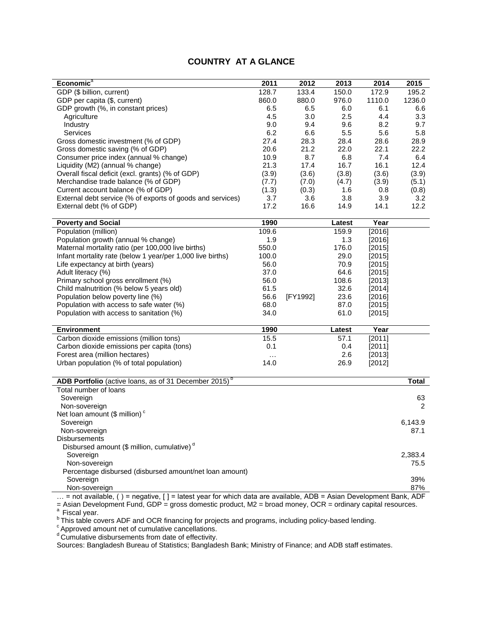### **COUNTRY AT A GLANCE**

| Economic <sup>a</sup>                                                                                            | 2011  | 2012     | 2013   | 2014   | 2015            |
|------------------------------------------------------------------------------------------------------------------|-------|----------|--------|--------|-----------------|
| GDP (\$ billion, current)                                                                                        | 128.7 | 133.4    | 150.0  | 172.9  | 195.2           |
| GDP per capita (\$, current)                                                                                     | 860.0 | 880.0    | 976.0  | 1110.0 | 1236.0          |
| GDP growth (%, in constant prices)                                                                               | 6.5   | 6.5      | 6.0    | 6.1    | 6.6             |
| Agriculture                                                                                                      | 4.5   | 3.0      | 2.5    | 4.4    | 3.3             |
| Industry                                                                                                         | 9.0   | 9.4      | 9.6    | 8.2    | 9.7             |
| <b>Services</b>                                                                                                  | 6.2   | 6.6      | 5.5    | 5.6    | 5.8             |
| Gross domestic investment (% of GDP)                                                                             | 27.4  | 28.3     | 28.4   | 28.6   | 28.9            |
| Gross domestic saving (% of GDP)                                                                                 | 20.6  | 21.2     | 22.0   | 22.1   | 22.2            |
| Consumer price index (annual % change)                                                                           | 10.9  | 8.7      | 6.8    | 7.4    | 6.4             |
| Liquidity (M2) (annual % change)                                                                                 | 21.3  | 17.4     | 16.7   | 16.1   | 12.4            |
| Overall fiscal deficit (excl. grants) (% of GDP)                                                                 | (3.9) | (3.6)    | (3.8)  | (3.6)  | (3.9)           |
| Merchandise trade balance (% of GDP)                                                                             | (7.7) | (7.0)    | (4.7)  | (3.9)  | (5.1)           |
| Current account balance (% of GDP)                                                                               | (1.3) | (0.3)    | 1.6    | 0.8    | (0.8)           |
| External debt service (% of exports of goods and services)                                                       | 3.7   | 3.6      | 3.8    | 3.9    | 3.2             |
| External debt (% of GDP)                                                                                         | 17.2  | 16.6     | 14.9   | 14.1   | 12.2            |
|                                                                                                                  |       |          |        |        |                 |
| <b>Poverty and Social</b>                                                                                        | 1990  |          | Latest | Year   |                 |
| Population (million)                                                                                             | 109.6 |          | 159.9  | [2016] |                 |
| Population growth (annual % change)                                                                              | 1.9   |          | 1.3    | [2016] |                 |
| Maternal mortality ratio (per 100,000 live births)                                                               | 550.0 |          | 176.0  | [2015] |                 |
| Infant mortality rate (below 1 year/per 1,000 live births)                                                       | 100.0 |          | 29.0   | [2015] |                 |
| Life expectancy at birth (years)                                                                                 | 56.0  |          | 70.9   | [2015] |                 |
| Adult literacy (%)                                                                                               | 37.0  |          | 64.6   | [2015] |                 |
| Primary school gross enrollment (%)                                                                              | 56.0  |          | 108.6  | [2013] |                 |
| Child malnutrition (% below 5 years old)                                                                         | 61.5  |          | 32.6   | [2014] |                 |
| Population below poverty line (%)                                                                                | 56.6  | [FY1992] | 23.6   | [2016] |                 |
| Population with access to safe water (%)                                                                         | 68.0  |          | 87.0   | [2015] |                 |
| Population with access to sanitation (%)                                                                         | 34.0  |          | 61.0   | [2015] |                 |
|                                                                                                                  |       |          |        |        |                 |
| <b>Environment</b>                                                                                               | 1990  |          | Latest | Year   |                 |
| Carbon dioxide emissions (million tons)                                                                          | 15.5  |          | 57.1   | [2011] |                 |
| Carbon dioxide emissions per capita (tons)                                                                       | 0.1   |          | 0.4    | [2011] |                 |
| Forest area (million hectares)                                                                                   |       |          | 2.6    | [2013] |                 |
| Urban population (% of total population)                                                                         | 14.0  |          | 26.9   | [2012] |                 |
|                                                                                                                  |       |          |        |        |                 |
| ADB Portfolio (active loans, as of 31 December 2015) <sup>b</sup>                                                |       |          |        |        | <b>Total</b>    |
| Total number of loans                                                                                            |       |          |        |        |                 |
| Sovereign                                                                                                        |       |          |        |        | 63              |
| Non-sovereign                                                                                                    |       |          |        |        | 2               |
| Net loan amount $($$ million) $^c$                                                                               |       |          |        |        |                 |
| Sovereign                                                                                                        |       |          |        |        | 6,143.9         |
| Non-sovereign                                                                                                    |       |          |        |        | 87.1            |
| <b>Disbursements</b>                                                                                             |       |          |        |        |                 |
| Disbursed amount (\$ million, cumulative) <sup>d</sup>                                                           |       |          |        |        |                 |
|                                                                                                                  |       |          |        |        |                 |
| Sovereign<br>Non-sovereign                                                                                       |       |          |        |        | 2,383.4<br>75.5 |
| Percentage disbursed (disbursed amount/net loan amount)                                                          |       |          |        |        |                 |
|                                                                                                                  |       |          |        |        | 39%             |
| Sovereign<br>Non-sovereign                                                                                       |       |          |        |        |                 |
| = not available, () = negative, [] = latest year for which data are available, ADB = Asian Development Bank, ADF |       |          |        |        | 87%             |
|                                                                                                                  |       |          |        |        |                 |

= Asian Development Fund, GDP = gross domestic product, M2 = broad money, OCR = ordinary capital resources.

a<br><sup>b</sup> This table covers ADF and OCR financing for projects and programs, including policy-based lending.

 $\epsilon$  Approved amount net of cumulative cancellations.

 $d$  Cumulative disbursements from date of effectivity.

Sources: Bangladesh Bureau of Statistics; Bangladesh Bank; Ministry of Finance; and ADB staff estimates.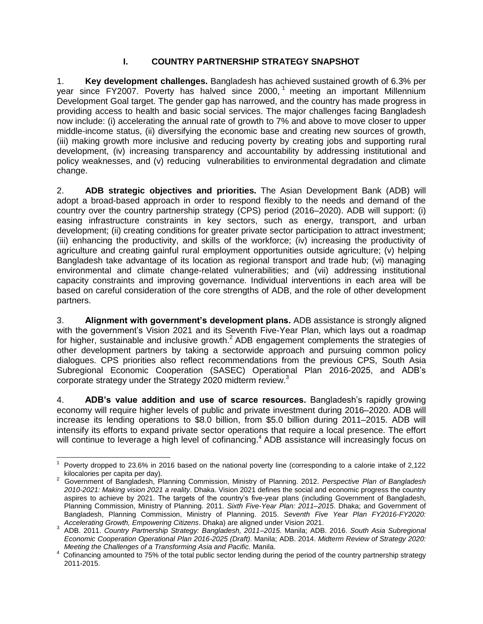# **I. COUNTRY PARTNERSHIP STRATEGY SNAPSHOT**

<span id="page-4-0"></span>1. **Key development challenges.** Bangladesh has achieved sustained growth of 6.3% per year since FY2007. Poverty has halved since 2000, <sup>1</sup> meeting an important Millennium Development Goal target. The gender gap has narrowed, and the country has made progress in providing access to health and basic social services. The major challenges facing Bangladesh now include: (i) accelerating the annual rate of growth to 7% and above to move closer to upper middle-income status, (ii) diversifying the economic base and creating new sources of growth, (iii) making growth more inclusive and reducing poverty by creating jobs and supporting rural development, (iv) increasing transparency and accountability by addressing institutional and policy weaknesses, and (v) reducing vulnerabilities to environmental degradation and climate change.

2. **ADB strategic objectives and priorities.** The Asian Development Bank (ADB) will adopt a broad-based approach in order to respond flexibly to the needs and demand of the country over the country partnership strategy (CPS) period (2016–2020). ADB will support: (i) easing infrastructure constraints in key sectors, such as energy, transport, and urban development; (ii) creating conditions for greater private sector participation to attract investment; (iii) enhancing the productivity, and skills of the workforce; (iv) increasing the productivity of agriculture and creating gainful rural employment opportunities outside agriculture; (v) helping Bangladesh take advantage of its location as regional transport and trade hub; (vi) managing environmental and climate change-related vulnerabilities; and (vii) addressing institutional capacity constraints and improving governance. Individual interventions in each area will be based on careful consideration of the core strengths of ADB, and the role of other development partners.

3. **Alignment with government's development plans.** ADB assistance is strongly aligned with the government's Vision 2021 and its Seventh Five-Year Plan, which lays out a roadmap for higher, sustainable and inclusive growth.<sup>2</sup> ADB engagement complements the strategies of other development partners by taking a sectorwide approach and pursuing common policy dialogues. CPS priorities also reflect recommendations from the previous CPS, South Asia Subregional Economic Cooperation (SASEC) Operational Plan 2016-2025, and ADB's corporate strategy under the Strategy 2020 midterm review.<sup>3</sup>

4. **ADB's value addition and use of scarce resources.** Bangladesh's rapidly growing economy will require higher levels of public and private investment during 2016–2020. ADB will increase its lending operations to \$8.0 billion, from \$5.0 billion during 2011–2015. ADB will intensify its efforts to expand private sector operations that require a local presence. The effort will continue to leverage a high level of cofinancing.<sup>4</sup> ADB assistance will increasingly focus on

 $\overline{a}$ 1 Poverty dropped to 23.6% in 2016 based on the national poverty line (corresponding to a calorie intake of 2,122

kilocalories per capita per day). 2 Government of Bangladesh, Planning Commission, Ministry of Planning. 2012. *Perspective Plan of Bangladesh 2010-2021: Making vision 2021 a reality*. Dhaka. Vision 2021 defines the social and economic progress the country aspires to achieve by 2021. The targets of the country's five-year plans (including Government of Bangladesh, Planning Commission, Ministry of Planning. 2011. *Sixth Five-Year Plan: 2011–2015*. Dhaka; and Government of Bangladesh, Planning Commission, Ministry of Planning. 2015. *Seventh Five Year Plan FY2016-FY2020: Accelerating Growth, Empowering Citizens*. Dhaka) are aligned under Vision 2021.

<sup>3</sup> ADB. 2011. *Country Partnership Strategy: Bangladesh, 2011–2015.* Manila; ADB. 2016. *South Asia Subregional Economic Cooperation Operational Plan 2016-2025 (Draft)*. Manila; ADB. 2014. *Midterm Review of Strategy 2020: Meeting the Challenges of a Transforming Asia and Pacific.* Manila.

<sup>&</sup>lt;sup>4</sup> Cofinancing amounted to 75% of the total public sector lending during the period of the country partnership strategy 2011-2015.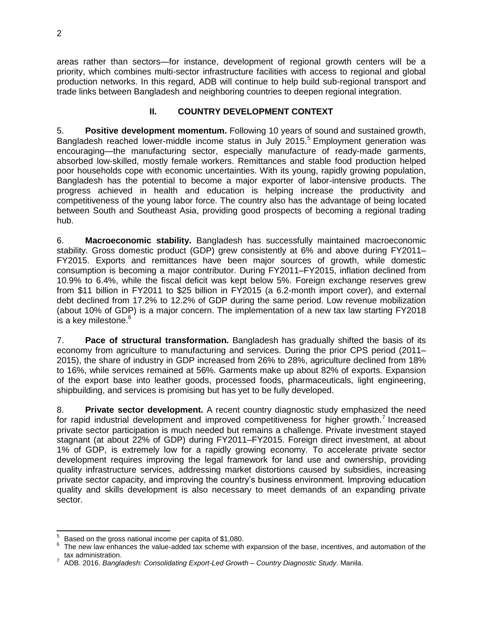areas rather than sectors—for instance, development of regional growth centers will be a priority, which combines multi-sector infrastructure facilities with access to regional and global production networks. In this regard, ADB will continue to help build sub-regional transport and trade links between Bangladesh and neighboring countries to deepen regional integration.

#### **II. COUNTRY DEVELOPMENT CONTEXT**

<span id="page-5-0"></span>5. **Positive development momentum.** Following 10 years of sound and sustained growth, Bangladesh reached lower-middle income status in July 2015.<sup>5</sup> Employment generation was encouraging—the manufacturing sector, especially manufacture of ready-made garments, absorbed low-skilled, mostly female workers. Remittances and stable food production helped poor households cope with economic uncertainties. With its young, rapidly growing population, Bangladesh has the potential to become a major exporter of labor-intensive products. The progress achieved in health and education is helping increase the productivity and competitiveness of the young labor force. The country also has the advantage of being located between South and Southeast Asia, providing good prospects of becoming a regional trading hub.

6. **Macroeconomic stability.** Bangladesh has successfully maintained macroeconomic stability. Gross domestic product (GDP) grew consistently at 6% and above during FY2011– FY2015. Exports and remittances have been major sources of growth, while domestic consumption is becoming a major contributor. During FY2011–FY2015, inflation declined from 10.9% to 6.4%, while the fiscal deficit was kept below 5%. Foreign exchange reserves grew from \$11 billion in FY2011 to \$25 billion in FY2015 (a 6.2-month import cover), and external debt declined from 17.2% to 12.2% of GDP during the same period. Low revenue mobilization (about 10% of GDP) is a major concern. The implementation of a new tax law starting FY2018 is a key milestone. 6

7. **Pace of structural transformation.** Bangladesh has gradually shifted the basis of its economy from agriculture to manufacturing and services. During the prior CPS period (2011– 2015), the share of industry in GDP increased from 26% to 28%, agriculture declined from 18% to 16%, while services remained at 56%. Garments make up about 82% of exports. Expansion of the export base into leather goods, processed foods, pharmaceuticals, light engineering, shipbuilding, and services is promising but has yet to be fully developed.

8. **Private sector development.** A recent country diagnostic study emphasized the need for rapid industrial development and improved competitiveness for higher growth.<sup>7</sup> Increased private sector participation is much needed but remains a challenge. Private investment stayed stagnant (at about 22% of GDP) during FY2011–FY2015. Foreign direct investment, at about 1% of GDP, is extremely low for a rapidly growing economy. To accelerate private sector development requires improving the legal framework for land use and ownership, providing quality infrastructure services, addressing market distortions caused by subsidies, increasing private sector capacity, and improving the country's business environment. Improving education quality and skills development is also necessary to meet demands of an expanding private sector.

 $\overline{a}$ 5 Based on the gross national income per capita of \$1,080.

<sup>6</sup> The new law enhances the value-added tax scheme with expansion of the base, incentives, and automation of the tax administration.

<sup>7</sup> ADB. 2016. *Bangladesh: Consolidating Export-Led Growth* – *Country Diagnostic Study*. Manila.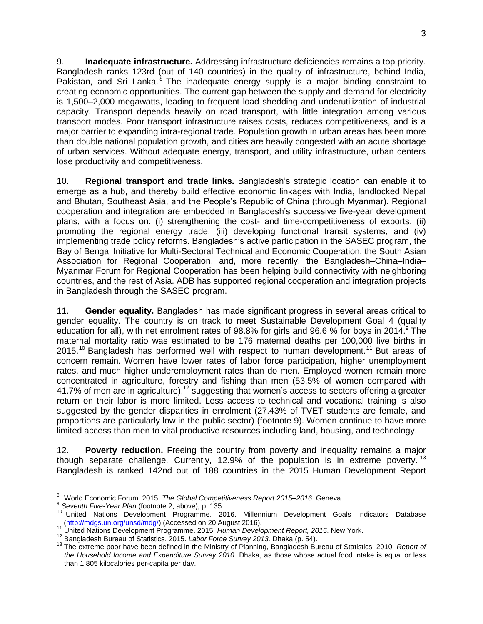9. **Inadequate infrastructure.** Addressing infrastructure deficiencies remains a top priority. Bangladesh ranks 123rd (out of 140 countries) in the quality of infrastructure, behind India, Pakistan, and Sri Lanka.<sup>8</sup> The inadequate energy supply is a major binding constraint to creating economic opportunities. The current gap between the supply and demand for electricity is 1,500–2,000 megawatts, leading to frequent load shedding and underutilization of industrial capacity. Transport depends heavily on road transport, with little integration among various transport modes. Poor transport infrastructure raises costs, reduces competitiveness, and is a major barrier to expanding intra-regional trade. Population growth in urban areas has been more than double national population growth, and cities are heavily congested with an acute shortage of urban services. Without adequate energy, transport, and utility infrastructure, urban centers lose productivity and competitiveness.

10. **Regional transport and trade links.** Bangladesh's strategic location can enable it to emerge as a hub, and thereby build effective economic linkages with India, landlocked Nepal and Bhutan, Southeast Asia, and the People's Republic of China (through Myanmar). Regional cooperation and integration are embedded in Bangladesh's successive five-year development plans, with a focus on: (i) strengthening the cost- and time-competitiveness of exports, (ii) promoting the regional energy trade, (iii) developing functional transit systems, and (iv) implementing trade policy reforms. Bangladesh's active participation in the SASEC program, the Bay of Bengal Initiative for Multi-Sectoral Technical and Economic Cooperation, the South Asian Association for Regional Cooperation, and, more recently, the Bangladesh–China–India– Myanmar Forum for Regional Cooperation has been helping build connectivity with neighboring countries, and the rest of Asia. ADB has supported regional cooperation and integration projects in Bangladesh through the SASEC program.

11. **Gender equality.** Bangladesh has made significant progress in several areas critical to gender equality. The country is on track to meet Sustainable Development Goal 4 (quality education for all), with net enrolment rates of 98.8% for girls and 96.6 % for boys in 2014. The maternal mortality ratio was estimated to be 176 maternal deaths per 100,000 live births in 2015.<sup>10</sup> Bangladesh has performed well with respect to human development.<sup>11</sup> But areas of concern remain. Women have lower rates of labor force participation, higher unemployment rates, and much higher underemployment rates than do men. Employed women remain more concentrated in agriculture, forestry and fishing than men (53.5% of women compared with 41.7% of men are in agriculture),<sup>12</sup> suggesting that women's access to sectors offering a greater return on their labor is more limited. Less access to technical and vocational training is also suggested by the gender disparities in enrolment (27.43% of TVET students are female, and proportions are particularly low in the public sector) (footnote 9). Women continue to have more limited access than men to vital productive resources including land, housing, and technology.

12. **Poverty reduction.** Freeing the country from poverty and inequality remains a major though separate challenge. Currently, 12.9% of the population is in extreme poverty.<sup>13</sup> Bangladesh is ranked 142nd out of 188 countries in the 2015 Human Development Report

<sup>8</sup> World Economic Forum. 2015. *The Global Competitiveness Report 2015–2016.* Geneva.

<sup>9</sup> *Seventh Five-Year Plan* (footnote 2, above)*,* p. 135.

<sup>10</sup> United Nations Development Programme. 2016. Millennium Development Goals Indicators Database [\(http://mdgs.un.org/unsd/mdg/\)](http://mdgs.un.org/unsd/mdg/) (Accessed on 20 August 2016).

<sup>11</sup> United Nations Development Programme. 2015. *Human Development Report, 2015*. New York.

<sup>12</sup> Bangladesh Bureau of Statistics. 2015. *Labor Force Survey 2013.* Dhaka (p. 54).

<sup>13</sup> The extreme poor have been defined in the Ministry of Planning, Bangladesh Bureau of Statistics. 2010. *Report of the Household Income and Expenditure Survey 2010*. Dhaka, as those whose actual food intake is equal or less than 1,805 kilocalories per-capita per day.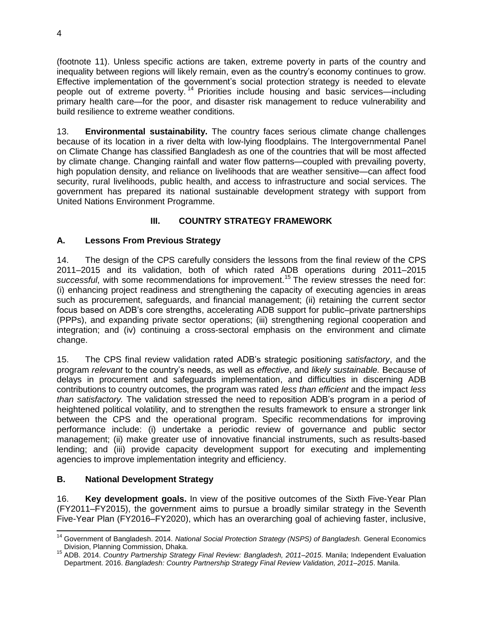(footnote 11). Unless specific actions are taken, extreme poverty in parts of the country and inequality between regions will likely remain, even as the country's economy continues to grow. Effective implementation of the government's social protection strategy is needed to elevate people out of extreme poverty.<sup>14</sup> Priorities include housing and basic services—including primary health care—for the poor, and disaster risk management to reduce vulnerability and build resilience to extreme weather conditions.

13. **Environmental sustainability.** The country faces serious climate change challenges because of its location in a river delta with low-lying floodplains. The Intergovernmental Panel on Climate Change has classified Bangladesh as one of the countries that will be most affected by climate change. Changing rainfall and water flow patterns—coupled with prevailing poverty, high population density, and reliance on livelihoods that are weather sensitive—can affect food security, rural livelihoods, public health, and access to infrastructure and social services. The government has prepared its national sustainable development strategy with support from United Nations Environment Programme.

# **III. COUNTRY STRATEGY FRAMEWORK**

# <span id="page-7-1"></span><span id="page-7-0"></span>**A. Lessons From Previous Strategy**

14. The design of the CPS carefully considers the lessons from the final review of the CPS 2011–2015 and its validation, both of which rated ADB operations during 2011–2015 successful, with some recommendations for improvement.<sup>15</sup> The review stresses the need for: (i) enhancing project readiness and strengthening the capacity of executing agencies in areas such as procurement, safeguards, and financial management; (ii) retaining the current sector focus based on ADB's core strengths, accelerating ADB support for public–private partnerships (PPPs), and expanding private sector operations; (iii) strengthening regional cooperation and integration; and (iv) continuing a cross-sectoral emphasis on the environment and climate change.

15. The CPS final review validation rated ADB's strategic positioning *satisfactory*, and the program *relevant* to the country's needs, as well as *effective*, and *likely sustainable.* Because of delays in procurement and safeguards implementation, and difficulties in discerning ADB contributions to country outcomes, the program was rated *less than efficient* and the impact *less than satisfactory.* The validation stressed the need to reposition ADB's program in a period of heightened political volatility, and to strengthen the results framework to ensure a stronger link between the CPS and the operational program. Specific recommendations for improving performance include: (i) undertake a periodic review of governance and public sector management; (ii) make greater use of innovative financial instruments, such as results-based lending; and (iii) provide capacity development support for executing and implementing agencies to improve implementation integrity and efficiency.

# <span id="page-7-2"></span>**B. National Development Strategy**

16. **Key development goals.** In view of the positive outcomes of the Sixth Five-Year Plan (FY2011–FY2015), the government aims to pursue a broadly similar strategy in the Seventh Five-Year Plan (FY2016–FY2020), which has an overarching goal of achieving faster, inclusive,

 $\overline{a}$ <sup>14</sup> Government of Bangladesh. 2014. *National Social Protection Strategy (NSPS) of Bangladesh.* General Economics Division, Planning Commission, Dhaka.

<sup>15</sup> ADB. 2014. *Country Partnership Strategy Final Review: Bangladesh, 2011–2015*. Manila; Independent Evaluation Department. 2016. *Bangladesh: Country Partnership Strategy Final Review Validation, 2011–2015*. Manila.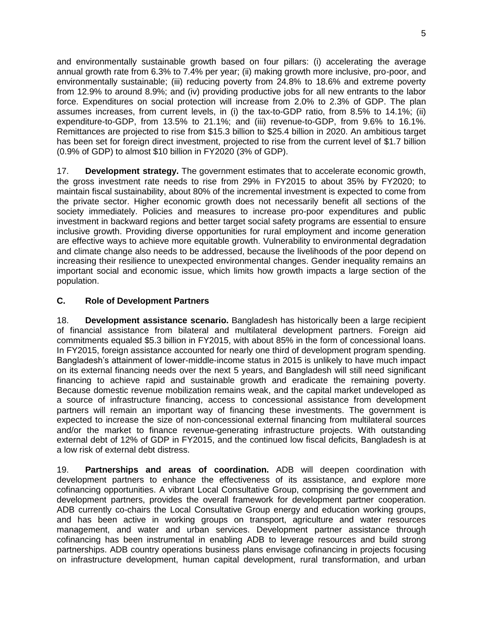and environmentally sustainable growth based on four pillars: (i) accelerating the average annual growth rate from 6.3% to 7.4% per year; (ii) making growth more inclusive, pro-poor, and environmentally sustainable; (iii) reducing poverty from 24.8% to 18.6% and extreme poverty from 12.9% to around 8.9%; and (iv) providing productive jobs for all new entrants to the labor force. Expenditures on social protection will increase from 2.0% to 2.3% of GDP. The plan assumes increases, from current levels, in (i) the tax-to-GDP ratio, from 8.5% to 14.1%; (ii) expenditure-to-GDP, from 13.5% to 21.1%; and (iii) revenue-to-GDP, from 9.6% to 16.1%. Remittances are projected to rise from \$15.3 billion to \$25.4 billion in 2020. An ambitious target has been set for foreign direct investment, projected to rise from the current level of \$1.7 billion (0.9% of GDP) to almost \$10 billion in FY2020 (3% of GDP).

17. **Development strategy.** The government estimates that to accelerate economic growth, the gross investment rate needs to rise from 29% in FY2015 to about 35% by FY2020; to maintain fiscal sustainability, about 80% of the incremental investment is expected to come from the private sector. Higher economic growth does not necessarily benefit all sections of the society immediately. Policies and measures to increase pro-poor expenditures and public investment in backward regions and better target social safety programs are essential to ensure inclusive growth. Providing diverse opportunities for rural employment and income generation are effective ways to achieve more equitable growth. Vulnerability to environmental degradation and climate change also needs to be addressed, because the livelihoods of the poor depend on increasing their resilience to unexpected environmental changes. Gender inequality remains an important social and economic issue, which limits how growth impacts a large section of the population.

# <span id="page-8-0"></span>**C. Role of Development Partners**

18. **Development assistance scenario.** Bangladesh has historically been a large recipient of financial assistance from bilateral and multilateral development partners. Foreign aid commitments equaled \$5.3 billion in FY2015, with about 85% in the form of concessional loans. In FY2015, foreign assistance accounted for nearly one third of development program spending. Bangladesh's attainment of lower-middle-income status in 2015 is unlikely to have much impact on its external financing needs over the next 5 years, and Bangladesh will still need significant financing to achieve rapid and sustainable growth and eradicate the remaining poverty. Because domestic revenue mobilization remains weak, and the capital market undeveloped as a source of infrastructure financing, access to concessional assistance from development partners will remain an important way of financing these investments. The government is expected to increase the size of non-concessional external financing from multilateral sources and/or the market to finance revenue-generating infrastructure projects. With outstanding external debt of 12% of GDP in FY2015, and the continued low fiscal deficits, Bangladesh is at a low risk of external debt distress.

19. **Partnerships and areas of coordination.** ADB will deepen coordination with development partners to enhance the effectiveness of its assistance, and explore more cofinancing opportunities. A vibrant Local Consultative Group, comprising the government and development partners, provides the overall framework for development partner cooperation. ADB currently co-chairs the Local Consultative Group energy and education working groups, and has been active in working groups on transport, agriculture and water resources management, and water and urban services. Development partner assistance through cofinancing has been instrumental in enabling ADB to leverage resources and build strong partnerships. ADB country operations business plans envisage cofinancing in projects focusing on infrastructure development, human capital development, rural transformation, and urban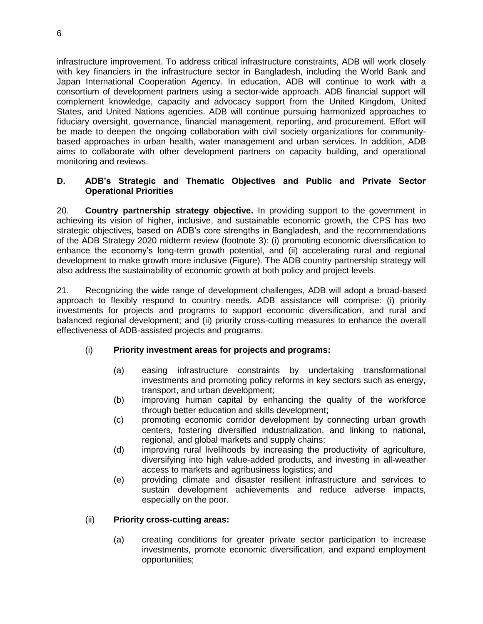infrastructure improvement. To address critical infrastructure constraints, ADB will work closely with key financiers in the infrastructure sector in Bangladesh, including the World Bank and Japan International Cooperation Agency. In education, ADB will continue to work with a consortium of development partners using a sector-wide approach. ADB financial support will complement knowledge, capacity and advocacy support from the United Kingdom, United States, and United Nations agencies. ADB will continue pursuing harmonized approaches to fiduciary oversight, governance, financial management, reporting, and procurement. Effort will be made to deepen the ongoing collaboration with civil society organizations for communitybased approaches in urban health, water management and urban services. In addition, ADB aims to collaborate with other development partners on capacity building, and operational monitoring and reviews.

#### <span id="page-9-0"></span>**D. ADB's Strategic and Thematic Objectives and Public and Private Sector Operational Priorities**

20. **Country partnership strategy objective.** In providing support to the government in achieving its vision of higher, inclusive, and sustainable economic growth, the CPS has two strategic objectives, based on ADB's core strengths in Bangladesh, and the recommendations of the ADB Strategy 2020 midterm review (footnote 3): (i) promoting economic diversification to enhance the economy's long-term growth potential, and (ii) accelerating rural and regional development to make growth more inclusive (Figure). The ADB country partnership strategy will also address the sustainability of economic growth at both policy and project levels.

21. Recognizing the wide range of development challenges, ADB will adopt a broad-based approach to flexibly respond to country needs. ADB assistance will comprise: (i) priority investments for projects and programs to support economic diversification, and rural and balanced regional development; and (ii) priority cross-cutting measures to enhance the overall effectiveness of ADB-assisted projects and programs.

# (i) **Priority investment areas for projects and programs:**

- (a) easing infrastructure constraints by undertaking transformational investments and promoting policy reforms in key sectors such as energy, transport, and urban development;
- (b) improving human capital by enhancing the quality of the workforce through better education and skills development;
- (c) promoting economic corridor development by connecting urban growth centers, fostering diversified industrialization, and linking to national, regional, and global markets and supply chains;
- (d) improving rural livelihoods by increasing the productivity of agriculture, diversifying into high value-added products, and investing in all-weather access to markets and agribusiness logistics; and
- (e) providing climate and disaster resilient infrastructure and services to sustain development achievements and reduce adverse impacts, especially on the poor.

#### (ii) **Priority cross-cutting areas:**

(a) creating conditions for greater private sector participation to increase investments, promote economic diversification, and expand employment opportunities;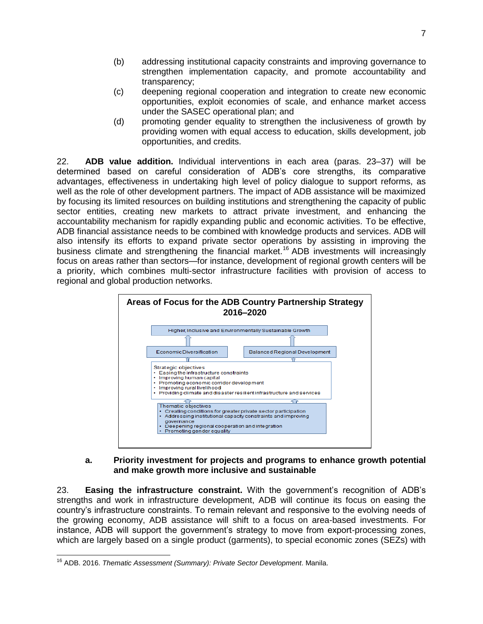- (b) addressing institutional capacity constraints and improving governance to strengthen implementation capacity, and promote accountability and transparency;
- (c) deepening regional cooperation and integration to create new economic opportunities, exploit economies of scale, and enhance market access under the SASEC operational plan; and
- (d) promoting gender equality to strengthen the inclusiveness of growth by providing women with equal access to education, skills development, job opportunities, and credits.

22. **ADB value addition.** Individual interventions in each area (paras. 23–37) will be determined based on careful consideration of ADB's core strengths, its comparative advantages, effectiveness in undertaking high level of policy dialogue to support reforms, as well as the role of other development partners. The impact of ADB assistance will be maximized by focusing its limited resources on building institutions and strengthening the capacity of public sector entities, creating new markets to attract private investment, and enhancing the accountability mechanism for rapidly expanding public and economic activities. To be effective, ADB financial assistance needs to be combined with knowledge products and services. ADB will also intensify its efforts to expand private sector operations by assisting in improving the business climate and strengthening the financial market.<sup>16</sup> ADB investments will increasingly focus on areas rather than sectors—for instance, development of regional growth centers will be a priority, which combines multi-sector infrastructure facilities with provision of access to regional and global production networks.



#### **a. Priority investment for projects and programs to enhance growth potential and make growth more inclusive and sustainable**

23. **Easing the infrastructure constraint.** With the government's recognition of ADB's strengths and work in infrastructure development, ADB will continue its focus on easing the country's infrastructure constraints. To remain relevant and responsive to the evolving needs of the growing economy, ADB assistance will shift to a focus on area-based investments. For instance, ADB will support the government's strategy to move from export-processing zones, which are largely based on a single product (garments), to special economic zones (SEZs) with

 <sup>16</sup> ADB. 2016. *Thematic Assessment (Summary): Private Sector Development*. Manila.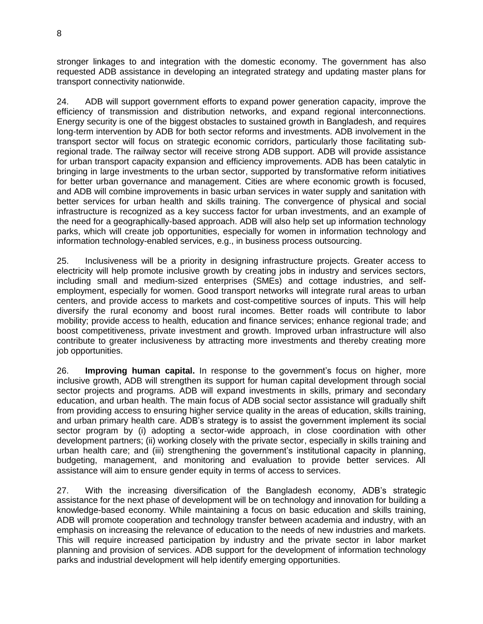stronger linkages to and integration with the domestic economy. The government has also requested ADB assistance in developing an integrated strategy and updating master plans for transport connectivity nationwide.

24. ADB will support government efforts to expand power generation capacity, improve the efficiency of transmission and distribution networks, and expand regional interconnections. Energy security is one of the biggest obstacles to sustained growth in Bangladesh, and requires long-term intervention by ADB for both sector reforms and investments. ADB involvement in the transport sector will focus on strategic economic corridors, particularly those facilitating subregional trade. The railway sector will receive strong ADB support. ADB will provide assistance for urban transport capacity expansion and efficiency improvements. ADB has been catalytic in bringing in large investments to the urban sector, supported by transformative reform initiatives for better urban governance and management. Cities are where economic growth is focused, and ADB will combine improvements in basic urban services in water supply and sanitation with better services for urban health and skills training. The convergence of physical and social infrastructure is recognized as a key success factor for urban investments, and an example of the need for a geographically-based approach. ADB will also help set up information technology parks, which will create job opportunities, especially for women in information technology and information technology-enabled services, e.g., in business process outsourcing.

25. Inclusiveness will be a priority in designing infrastructure projects. Greater access to electricity will help promote inclusive growth by creating jobs in industry and services sectors, including small and medium-sized enterprises (SMEs) and cottage industries, and selfemployment, especially for women. Good transport networks will integrate rural areas to urban centers, and provide access to markets and cost-competitive sources of inputs. This will help diversify the rural economy and boost rural incomes. Better roads will contribute to labor mobility; provide access to health, education and finance services; enhance regional trade; and boost competitiveness, private investment and growth. Improved urban infrastructure will also contribute to greater inclusiveness by attracting more investments and thereby creating more job opportunities.

26. **Improving human capital.** In response to the government's focus on higher, more inclusive growth, ADB will strengthen its support for human capital development through social sector projects and programs. ADB will expand investments in skills, primary and secondary education, and urban health. The main focus of ADB social sector assistance will gradually shift from providing access to ensuring higher service quality in the areas of education, skills training, and urban primary health care. ADB's strategy is to assist the government implement its social sector program by (i) adopting a sector-wide approach, in close coordination with other development partners; (ii) working closely with the private sector, especially in skills training and urban health care; and (iii) strengthening the government's institutional capacity in planning, budgeting, management, and monitoring and evaluation to provide better services. All assistance will aim to ensure gender equity in terms of access to services.

27. With the increasing diversification of the Bangladesh economy, ADB's strategic assistance for the next phase of development will be on technology and innovation for building a knowledge-based economy. While maintaining a focus on basic education and skills training, ADB will promote cooperation and technology transfer between academia and industry, with an emphasis on increasing the relevance of education to the needs of new industries and markets. This will require increased participation by industry and the private sector in labor market planning and provision of services. ADB support for the development of information technology parks and industrial development will help identify emerging opportunities.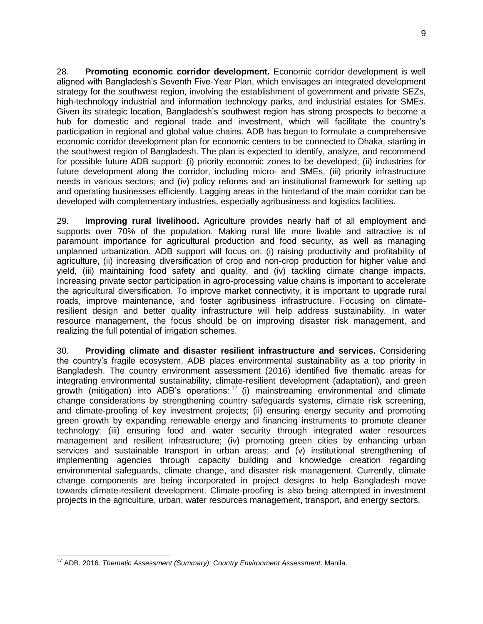28. **Promoting economic corridor development.** Economic corridor development is well aligned with Bangladesh's Seventh Five-Year Plan, which envisages an integrated development strategy for the southwest region, involving the establishment of government and private SEZs, high-technology industrial and information technology parks, and industrial estates for SMEs. Given its strategic location, Bangladesh's southwest region has strong prospects to become a hub for domestic and regional trade and investment, which will facilitate the country's participation in regional and global value chains. ADB has begun to formulate a comprehensive economic corridor development plan for economic centers to be connected to Dhaka, starting in the southwest region of Bangladesh. The plan is expected to identify, analyze, and recommend for possible future ADB support: (i) priority economic zones to be developed; (ii) industries for future development along the corridor, including micro- and SMEs, (iii) priority infrastructure needs in various sectors; and (iv) policy reforms and an institutional framework for setting up and operating businesses efficiently. Lagging areas in the hinterland of the main corridor can be developed with complementary industries, especially agribusiness and logistics facilities.

29. **Improving rural livelihood.** Agriculture provides nearly half of all employment and supports over 70% of the population. Making rural life more livable and attractive is of paramount importance for agricultural production and food security, as well as managing unplanned urbanization. ADB support will focus on: (i) raising productivity and profitability of agriculture, (ii) increasing diversification of crop and non-crop production for higher value and yield, (iii) maintaining food safety and quality, and (iv) tackling climate change impacts. Increasing private sector participation in agro-processing value chains is important to accelerate the agricultural diversification. To improve market connectivity, it is important to upgrade rural roads, improve maintenance, and foster agribusiness infrastructure. Focusing on climateresilient design and better quality infrastructure will help address sustainability. In water resource management, the focus should be on improving disaster risk management, and realizing the full potential of irrigation schemes.

30. **Providing climate and disaster resilient infrastructure and services.** Considering the country's fragile ecosystem, ADB places environmental sustainability as a top priority in Bangladesh. The country environment assessment (2016) identified five thematic areas for integrating environmental sustainability, climate-resilient development (adaptation), and green growth (mitigation) into ADB's operations:  $17$  (i) mainstreaming environmental and climate change considerations by strengthening country safeguards systems, climate risk screening, and climate-proofing of key investment projects; (ii) ensuring energy security and promoting green growth by expanding renewable energy and financing instruments to promote cleaner technology; (iii) ensuring food and water security through integrated water resources management and resilient infrastructure; (iv) promoting green cities by enhancing urban services and sustainable transport in urban areas; and (v) institutional strengthening of implementing agencies through capacity building and knowledge creation regarding environmental safeguards, climate change, and disaster risk management. Currently, climate change components are being incorporated in project designs to help Bangladesh move towards climate-resilient development. Climate-proofing is also being attempted in investment projects in the agriculture, urban, water resources management, transport, and energy sectors.

 <sup>17</sup> ADB. 2016. *Thematic Assessment (Summary): Country Environment Assessment*. Manila.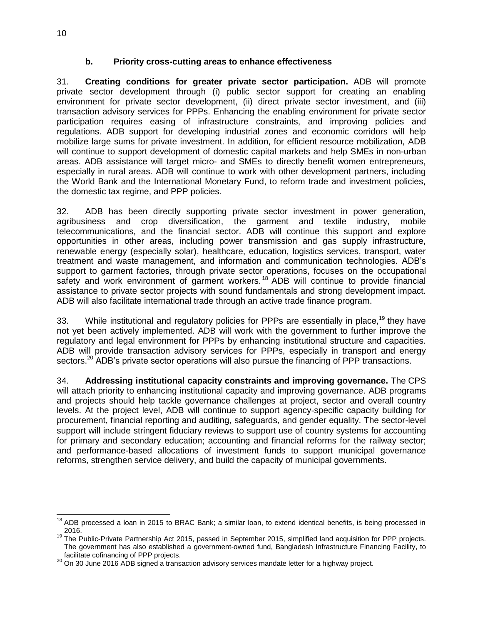#### **b. Priority cross-cutting areas to enhance effectiveness**

31. **Creating conditions for greater private sector participation.** ADB will promote private sector development through (i) public sector support for creating an enabling environment for private sector development, (ii) direct private sector investment, and (iii) transaction advisory services for PPPs. Enhancing the enabling environment for private sector participation requires easing of infrastructure constraints, and improving policies and regulations. ADB support for developing industrial zones and economic corridors will help mobilize large sums for private investment. In addition, for efficient resource mobilization, ADB will continue to support development of domestic capital markets and help SMEs in non-urban areas. ADB assistance will target micro- and SMEs to directly benefit women entrepreneurs, especially in rural areas. ADB will continue to work with other development partners, including the World Bank and the International Monetary Fund, to reform trade and investment policies, the domestic tax regime, and PPP policies.

32. ADB has been directly supporting private sector investment in power generation, agribusiness and crop diversification, the garment and textile industry, mobile telecommunications, and the financial sector. ADB will continue this support and explore opportunities in other areas, including power transmission and gas supply infrastructure, renewable energy (especially solar), healthcare, education, logistics services, transport, water treatment and waste management, and information and communication technologies. ADB's support to garment factories, through private sector operations, focuses on the occupational safety and work environment of garment workers.<sup>18</sup> ADB will continue to provide financial assistance to private sector projects with sound fundamentals and strong development impact. ADB will also facilitate international trade through an active trade finance program.

33. While institutional and regulatory policies for PPPs are essentially in place,<sup>19</sup> they have not yet been actively implemented. ADB will work with the government to further improve the regulatory and legal environment for PPPs by enhancing institutional structure and capacities. ADB will provide transaction advisory services for PPPs, especially in transport and energy sectors.<sup>20</sup> ADB's private sector operations will also pursue the financing of PPP transactions.

34. **Addressing institutional capacity constraints and improving governance.** The CPS will attach priority to enhancing institutional capacity and improving governance. ADB programs and projects should help tackle governance challenges at project, sector and overall country levels. At the project level, ADB will continue to support agency-specific capacity building for procurement, financial reporting and auditing, safeguards, and gender equality. The sector-level support will include stringent fiduciary reviews to support use of country systems for accounting for primary and secondary education; accounting and financial reforms for the railway sector; and performance-based allocations of investment funds to support municipal governance reforms, strengthen service delivery, and build the capacity of municipal governments.

<sup>&</sup>lt;sup>18</sup> ADB processed a loan in 2015 to BRAC Bank; a similar loan, to extend identical benefits, is being processed in 2016.

<sup>&</sup>lt;sup>19</sup> The Public-Private Partnership Act 2015, passed in September 2015, simplified land acquisition for PPP projects. The government has also established a government-owned fund, Bangladesh Infrastructure Financing Facility, to facilitate cofinancing of PPP projects.

 $^{20}$  On 30 June 2016 ADB signed a transaction advisory services mandate letter for a highway project.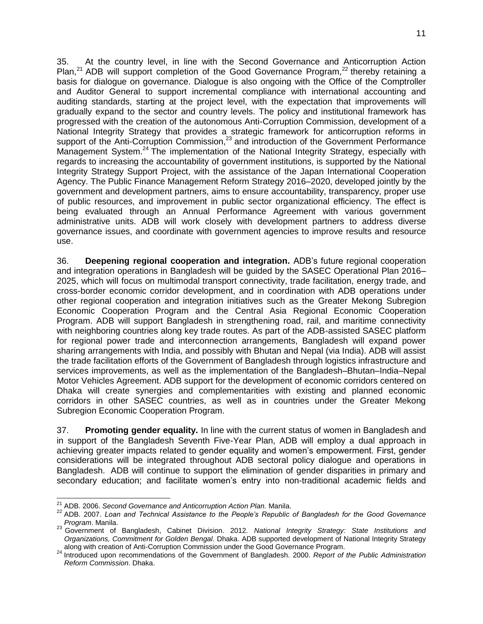35. At the country level, in line with the Second Governance and Anticorruption Action Plan,<sup>21</sup> ADB will support completion of the Good Governance Program,<sup>22</sup> thereby retaining a basis for dialogue on governance. Dialogue is also ongoing with the Office of the Comptroller and Auditor General to support incremental compliance with international accounting and auditing standards, starting at the project level, with the expectation that improvements will gradually expand to the sector and country levels. The policy and institutional framework has progressed with the creation of the autonomous Anti-Corruption Commission, development of a National Integrity Strategy that provides a strategic framework for anticorruption reforms in support of the Anti-Corruption Commission,<sup>23</sup> and introduction of the Government Performance Management System.<sup>24</sup> The implementation of the National Integrity Strategy, especially with regards to increasing the accountability of government institutions, is supported by the National Integrity Strategy Support Project, with the assistance of the Japan International Cooperation Agency. The Public Finance Management Reform Strategy 2016–2020, developed jointly by the government and development partners, aims to ensure accountability, transparency, proper use of public resources, and improvement in public sector organizational efficiency. The effect is being evaluated through an Annual Performance Agreement with various government administrative units. ADB will work closely with development partners to address diverse governance issues, and coordinate with government agencies to improve results and resource use.

36. **Deepening regional cooperation and integration.** ADB's future regional cooperation and integration operations in Bangladesh will be guided by the SASEC Operational Plan 2016– 2025, which will focus on multimodal transport connectivity, trade facilitation, energy trade, and cross-border economic corridor development, and in coordination with ADB operations under other regional cooperation and integration initiatives such as the Greater Mekong Subregion Economic Cooperation Program and the Central Asia Regional Economic Cooperation Program. ADB will support Bangladesh in strengthening road, rail, and maritime connectivity with neighboring countries along key trade routes. As part of the ADB-assisted SASEC platform for regional power trade and interconnection arrangements, Bangladesh will expand power sharing arrangements with India, and possibly with Bhutan and Nepal (via India). ADB will assist the trade facilitation efforts of the Government of Bangladesh through logistics infrastructure and services improvements, as well as the implementation of the Bangladesh–Bhutan–India–Nepal Motor Vehicles Agreement. ADB support for the development of economic corridors centered on Dhaka will create synergies and complementarities with existing and planned economic corridors in other SASEC countries, as well as in countries under the Greater Mekong Subregion Economic Cooperation Program.

37. **Promoting gender equality.** In line with the current status of women in Bangladesh and in support of the Bangladesh Seventh Five-Year Plan, ADB will employ a dual approach in achieving greater impacts related to gender equality and women's empowerment. First, gender considerations will be integrated throughout ADB sectoral policy dialogue and operations in Bangladesh. ADB will continue to support the elimination of gender disparities in primary and secondary education; and facilitate women's entry into non-traditional academic fields and

 $\overline{a}$ <sup>21</sup> ADB. 2006. *Second Governance and Anticorruption Action Plan.* Manila.

<sup>22</sup> ADB. 2007. *Loan and Technical Assistance to the People's Republic of Bangladesh for the Good Governance Program*. Manila.

<sup>23</sup> Government of Bangladesh, Cabinet Division. 2012. *National Integrity Strategy: State Institutions and Organizations, Commitment for Golden Bengal*. Dhaka. ADB supported development of National Integrity Strategy along with creation of Anti-Corruption Commission under the Good Governance Program.

<sup>24</sup> Introduced upon recommendations of the Government of Bangladesh. 2000. *Report of the Public Administration Reform Commission*. Dhaka.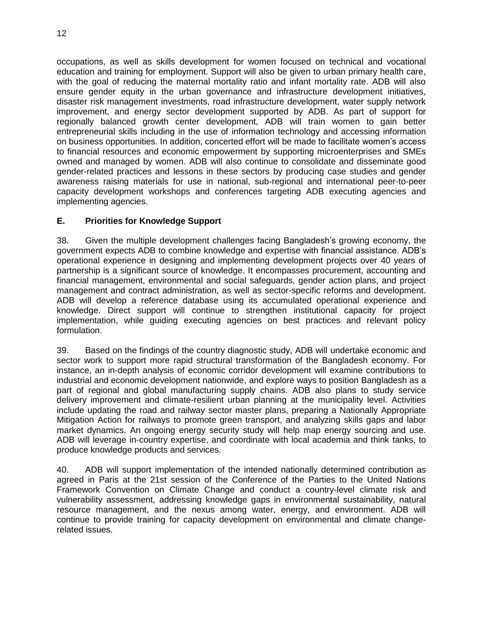occupations, as well as skills development for women focused on technical and vocational education and training for employment. Support will also be given to urban primary health care, with the goal of reducing the maternal mortality ratio and infant mortality rate. ADB will also ensure gender equity in the urban governance and infrastructure development initiatives, disaster risk management investments, road infrastructure development, water supply network improvement, and energy sector development supported by ADB. As part of support for regionally balanced growth center development, ADB will train women to gain better entrepreneurial skills including in the use of information technology and accessing information on business opportunities. In addition, concerted effort will be made to facilitate women's access to financial resources and economic empowerment by supporting microenterprises and SMEs owned and managed by women. ADB will also continue to consolidate and disseminate good gender-related practices and lessons in these sectors by producing case studies and gender awareness raising materials for use in national, sub-regional and international peer-to-peer capacity development workshops and conferences targeting ADB executing agencies and implementing agencies.

# <span id="page-15-0"></span>**E. Priorities for Knowledge Support**

38. Given the multiple development challenges facing Bangladesh's growing economy, the government expects ADB to combine knowledge and expertise with financial assistance. ADB's operational experience in designing and implementing development projects over 40 years of partnership is a significant source of knowledge. It encompasses procurement, accounting and financial management, environmental and social safeguards, gender action plans, and project management and contract administration, as well as sector-specific reforms and development. ADB will develop a reference database using its accumulated operational experience and knowledge. Direct support will continue to strengthen institutional capacity for project implementation, while guiding executing agencies on best practices and relevant policy formulation.

39. Based on the findings of the country diagnostic study, ADB will undertake economic and sector work to support more rapid structural transformation of the Bangladesh economy. For instance, an in-depth analysis of economic corridor development will examine contributions to industrial and economic development nationwide, and explore ways to position Bangladesh as a part of regional and global manufacturing supply chains. ADB also plans to study service delivery improvement and climate-resilient urban planning at the municipality level. Activities include updating the road and railway sector master plans, preparing a Nationally Appropriate Mitigation Action for railways to promote green transport, and analyzing skills gaps and labor market dynamics. An ongoing energy security study will help map energy sourcing and use. ADB will leverage in-country expertise, and coordinate with local academia and think tanks, to produce knowledge products and services.

40. ADB will support implementation of the intended nationally determined contribution as agreed in Paris at the 21st session of the Conference of the Parties to the United Nations Framework Convention on Climate Change and conduct a country-level climate risk and vulnerability assessment, addressing knowledge gaps in environmental sustainability, natural resource management, and the nexus among water, energy, and environment. ADB will continue to provide training for capacity development on environmental and climate changerelated issues.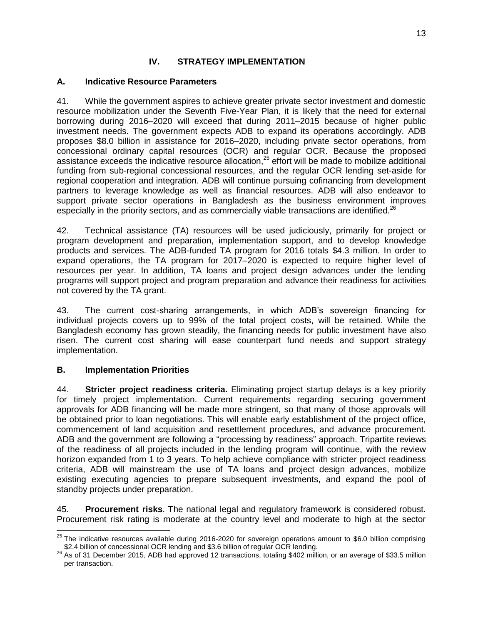#### **IV. STRATEGY IMPLEMENTATION**

#### <span id="page-16-1"></span><span id="page-16-0"></span>**A. Indicative Resource Parameters**

41. While the government aspires to achieve greater private sector investment and domestic resource mobilization under the Seventh Five-Year Plan, it is likely that the need for external borrowing during 2016–2020 will exceed that during 2011–2015 because of higher public investment needs. The government expects ADB to expand its operations accordingly. ADB proposes \$8.0 billion in assistance for 2016–2020, including private sector operations, from concessional ordinary capital resources (OCR) and regular OCR. Because the proposed assistance exceeds the indicative resource allocation,<sup>25</sup> effort will be made to mobilize additional funding from sub-regional concessional resources, and the regular OCR lending set-aside for regional cooperation and integration. ADB will continue pursuing cofinancing from development partners to leverage knowledge as well as financial resources. ADB will also endeavor to support private sector operations in Bangladesh as the business environment improves especially in the priority sectors, and as commercially viable transactions are identified.<sup>26</sup>

42. Technical assistance (TA) resources will be used judiciously, primarily for project or program development and preparation, implementation support, and to develop knowledge products and services. The ADB-funded TA program for 2016 totals \$4.3 million. In order to expand operations, the TA program for 2017–2020 is expected to require higher level of resources per year. In addition, TA loans and project design advances under the lending programs will support project and program preparation and advance their readiness for activities not covered by the TA grant.

43. The current cost-sharing arrangements, in which ADB's sovereign financing for individual projects covers up to 99% of the total project costs, will be retained. While the Bangladesh economy has grown steadily, the financing needs for public investment have also risen. The current cost sharing will ease counterpart fund needs and support strategy implementation.

# <span id="page-16-2"></span>**B. Implementation Priorities**

44. **Stricter project readiness criteria.** Eliminating project startup delays is a key priority for timely project implementation. Current requirements regarding securing government approvals for ADB financing will be made more stringent, so that many of those approvals will be obtained prior to loan negotiations. This will enable early establishment of the project office, commencement of land acquisition and resettlement procedures, and advance procurement. ADB and the government are following a "processing by readiness" approach. Tripartite reviews of the readiness of all projects included in the lending program will continue, with the review horizon expanded from 1 to 3 years. To help achieve compliance with stricter project readiness criteria, ADB will mainstream the use of TA loans and project design advances, mobilize existing executing agencies to prepare subsequent investments, and expand the pool of standby projects under preparation.

45. **Procurement risks**. The national legal and regulatory framework is considered robust. Procurement risk rating is moderate at the country level and moderate to high at the sector

 $\overline{\phantom{a}}$  $^{25}$  The indicative resources available during 2016-2020 for sovereign operations amount to \$6.0 billion comprising \$2.4 billion of concessional OCR lending and \$3.6 billion of regular OCR lending.

 $^{26}$  As of 31 December 2015, ADB had approved 12 transactions, totaling \$402 million, or an average of \$33.5 million per transaction.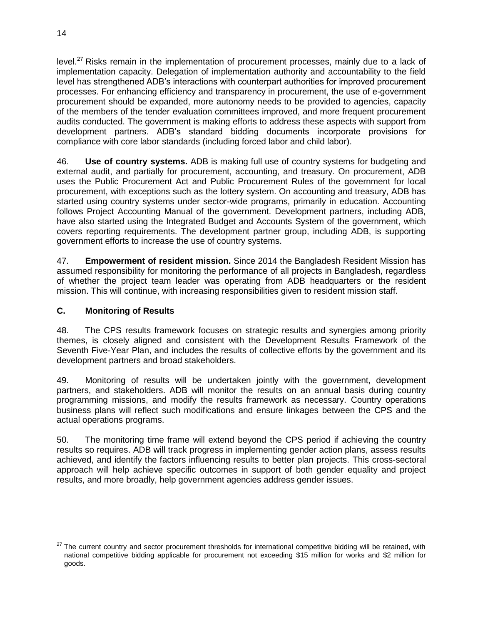level.<sup>27</sup> Risks remain in the implementation of procurement processes, mainly due to a lack of implementation capacity. Delegation of implementation authority and accountability to the field level has strengthened ADB's interactions with counterpart authorities for improved procurement processes. For enhancing efficiency and transparency in procurement, the use of e-government procurement should be expanded, more autonomy needs to be provided to agencies, capacity of the members of the tender evaluation committees improved, and more frequent procurement audits conducted. The government is making efforts to address these aspects with support from development partners. ADB's standard bidding documents incorporate provisions for compliance with core labor standards (including forced labor and child labor).

46. **Use of country systems.** ADB is making full use of country systems for budgeting and external audit, and partially for procurement, accounting, and treasury. On procurement, ADB uses the Public Procurement Act and Public Procurement Rules of the government for local procurement, with exceptions such as the lottery system. On accounting and treasury, ADB has started using country systems under sector-wide programs, primarily in education. Accounting follows Project Accounting Manual of the government. Development partners, including ADB, have also started using the Integrated Budget and Accounts System of the government, which covers reporting requirements. The development partner group, including ADB, is supporting government efforts to increase the use of country systems.

47. **Empowerment of resident mission.** Since 2014 the Bangladesh Resident Mission has assumed responsibility for monitoring the performance of all projects in Bangladesh, regardless of whether the project team leader was operating from ADB headquarters or the resident mission. This will continue, with increasing responsibilities given to resident mission staff.

# <span id="page-17-0"></span>**C. Monitoring of Results**

48. The CPS results framework focuses on strategic results and synergies among priority themes, is closely aligned and consistent with the Development Results Framework of the Seventh Five-Year Plan, and includes the results of collective efforts by the government and its development partners and broad stakeholders.

49. Monitoring of results will be undertaken jointly with the government, development partners, and stakeholders. ADB will monitor the results on an annual basis during country programming missions, and modify the results framework as necessary. Country operations business plans will reflect such modifications and ensure linkages between the CPS and the actual operations programs.

50. The monitoring time frame will extend beyond the CPS period if achieving the country results so requires. ADB will track progress in implementing gender action plans, assess results achieved, and identify the factors influencing results to better plan projects. This cross-sectoral approach will help achieve specific outcomes in support of both gender equality and project results, and more broadly, help government agencies address gender issues.

 The current country and sector procurement thresholds for international competitive bidding will be retained, with national competitive bidding applicable for procurement not exceeding \$15 million for works and \$2 million for goods.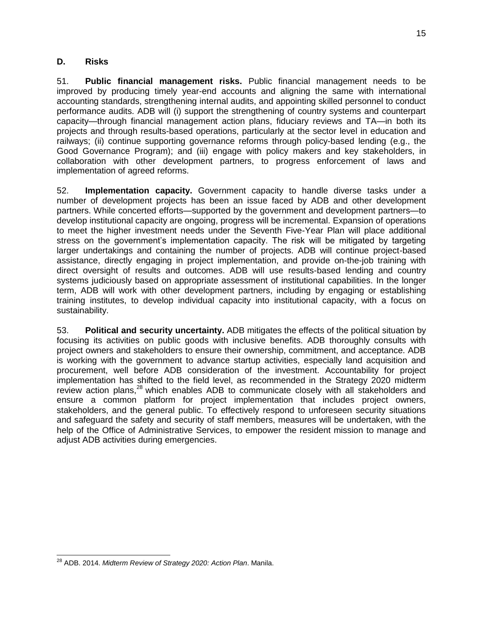#### <span id="page-18-0"></span>**D. Risks**

51. **Public financial management risks.** Public financial management needs to be improved by producing timely year-end accounts and aligning the same with international accounting standards, strengthening internal audits, and appointing skilled personnel to conduct performance audits. ADB will (i) support the strengthening of country systems and counterpart capacity—through financial management action plans, fiduciary reviews and TA—in both its projects and through results-based operations, particularly at the sector level in education and railways; (ii) continue supporting governance reforms through policy-based lending (e.g., the Good Governance Program); and (iii) engage with policy makers and key stakeholders, in collaboration with other development partners, to progress enforcement of laws and implementation of agreed reforms.

52. **Implementation capacity.** Government capacity to handle diverse tasks under a number of development projects has been an issue faced by ADB and other development partners. While concerted efforts—supported by the government and development partners—to develop institutional capacity are ongoing, progress will be incremental. Expansion of operations to meet the higher investment needs under the Seventh Five-Year Plan will place additional stress on the government's implementation capacity. The risk will be mitigated by targeting larger undertakings and containing the number of projects. ADB will continue project-based assistance, directly engaging in project implementation, and provide on-the-job training with direct oversight of results and outcomes. ADB will use results-based lending and country systems judiciously based on appropriate assessment of institutional capabilities. In the longer term, ADB will work with other development partners, including by engaging or establishing training institutes, to develop individual capacity into institutional capacity, with a focus on sustainability.

53. **Political and security uncertainty.** ADB mitigates the effects of the political situation by focusing its activities on public goods with inclusive benefits. ADB thoroughly consults with project owners and stakeholders to ensure their ownership, commitment, and acceptance. ADB is working with the government to advance startup activities, especially land acquisition and procurement, well before ADB consideration of the investment. Accountability for project implementation has shifted to the field level, as recommended in the Strategy 2020 midterm review action plans,<sup>28</sup> which enables ADB to communicate closely with all stakeholders and ensure a common platform for project implementation that includes project owners, stakeholders, and the general public. To effectively respond to unforeseen security situations and safeguard the safety and security of staff members, measures will be undertaken, with the help of the Office of Administrative Services, to empower the resident mission to manage and adjust ADB activities during emergencies.

 <sup>28</sup> ADB. 2014. *Midterm Review of Strategy 2020: Action Plan*. Manila.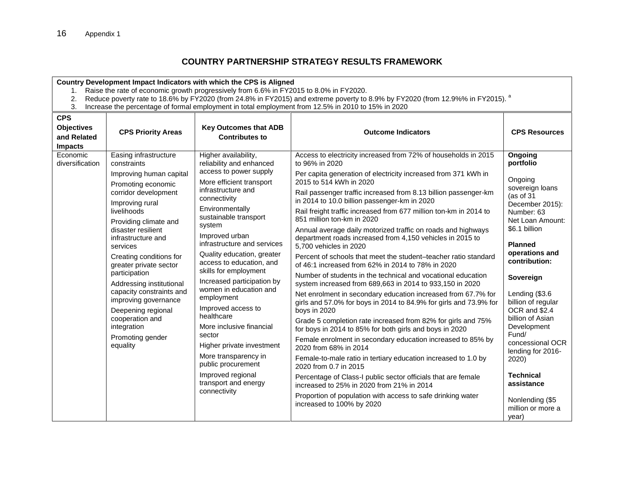### **COUNTRY PARTNERSHIP STRATEGY RESULTS FRAMEWORK**

#### **Country Development Impact Indicators with which the CPS is Aligned**

- 1. Raise the rate of economic growth progressively from 6.6% in FY2015 to 8.0% in FY2020.
- 2. Reduce poverty rate to 18.6% by FY2020 (from 24.8% in FY2015) and extreme poverty to 8.9% by FY2020 (from 12.9%% in FY2015).  $^{\text{a}}$
- 3. Increase the percentage of formal employment in total employment from 12.5% in 2010 to 15% in 2020

<span id="page-19-0"></span>

| <b>CPS</b><br><b>Objectives</b><br>and Related<br><b>Impacts</b> | <b>CPS Priority Areas</b>                                                                                                                                                                                                                                                                                                                                                                                                                                                      | <b>Key Outcomes that ADB</b><br><b>Contributes to</b>                                                                                                                                                                                                                                                                                                                                                                                                                                                                                                                                                                          | <b>Outcome Indicators</b>                                                                                                                                                                                                                                                                                                                                                                                                                                                                                                                                                                                                                                                                                                                                                                                                                                                                                                                                                                                                                                                                                                                                                                                                                                                                                                                                                                                                                                                                    | <b>CPS Resources</b>                                                                                                                                                                                                                                                                                                                                                                                                                                |
|------------------------------------------------------------------|--------------------------------------------------------------------------------------------------------------------------------------------------------------------------------------------------------------------------------------------------------------------------------------------------------------------------------------------------------------------------------------------------------------------------------------------------------------------------------|--------------------------------------------------------------------------------------------------------------------------------------------------------------------------------------------------------------------------------------------------------------------------------------------------------------------------------------------------------------------------------------------------------------------------------------------------------------------------------------------------------------------------------------------------------------------------------------------------------------------------------|----------------------------------------------------------------------------------------------------------------------------------------------------------------------------------------------------------------------------------------------------------------------------------------------------------------------------------------------------------------------------------------------------------------------------------------------------------------------------------------------------------------------------------------------------------------------------------------------------------------------------------------------------------------------------------------------------------------------------------------------------------------------------------------------------------------------------------------------------------------------------------------------------------------------------------------------------------------------------------------------------------------------------------------------------------------------------------------------------------------------------------------------------------------------------------------------------------------------------------------------------------------------------------------------------------------------------------------------------------------------------------------------------------------------------------------------------------------------------------------------|-----------------------------------------------------------------------------------------------------------------------------------------------------------------------------------------------------------------------------------------------------------------------------------------------------------------------------------------------------------------------------------------------------------------------------------------------------|
| Economic<br>diversification                                      | Easing infrastructure<br>constraints<br>Improving human capital<br>Promoting economic<br>corridor development<br>Improving rural<br>livelihoods<br>Providing climate and<br>disaster resilient<br>infrastructure and<br>services<br>Creating conditions for<br>greater private sector<br>participation<br>Addressing institutional<br>capacity constraints and<br>improving governance<br>Deepening regional<br>cooperation and<br>integration<br>Promoting gender<br>equality | Higher availability,<br>reliability and enhanced<br>access to power supply<br>More efficient transport<br>infrastructure and<br>connectivity<br>Environmentally<br>sustainable transport<br>system<br>Improved urban<br>infrastructure and services<br>Quality education, greater<br>access to education, and<br>skills for employment<br>Increased participation by<br>women in education and<br>employment<br>Improved access to<br>healthcare<br>More inclusive financial<br>sector<br>Higher private investment<br>More transparency in<br>public procurement<br>Improved regional<br>transport and energy<br>connectivity | Access to electricity increased from 72% of households in 2015<br>to 96% in 2020<br>Per capita generation of electricity increased from 371 kWh in<br>2015 to 514 kWh in 2020<br>Rail passenger traffic increased from 8.13 billion passenger-km<br>in 2014 to 10.0 billion passenger-km in 2020<br>Rail freight traffic increased from 677 million ton-km in 2014 to<br>851 million ton-km in 2020<br>Annual average daily motorized traffic on roads and highways<br>department roads increased from 4,150 vehicles in 2015 to<br>5.700 vehicles in 2020<br>Percent of schools that meet the student-teacher ratio standard<br>of 46:1 increased from 62% in 2014 to 78% in 2020<br>Number of students in the technical and vocational education<br>system increased from 689,663 in 2014 to 933,150 in 2020<br>Net enrolment in secondary education increased from 67.7% for<br>girls and 57.0% for boys in 2014 to 84.9% for girls and 73.9% for<br>boys in 2020<br>Grade 5 completion rate increased from 82% for girls and 75%<br>for boys in 2014 to 85% for both girls and boys in 2020<br>Female enrolment in secondary education increased to 85% by<br>2020 from 68% in 2014<br>Female-to-male ratio in tertiary education increased to 1.0 by<br>2020 from 0.7 in 2015<br>Percentage of Class-I public sector officials that are female<br>increased to 25% in 2020 from 21% in 2014<br>Proportion of population with access to safe drinking water<br>increased to 100% by 2020 | Ongoing<br>portfolio<br>Ongoing<br>sovereign loans<br>(as of $31$<br>December 2015):<br>Number: 63<br>Net Loan Amount:<br>\$6.1 billion<br><b>Planned</b><br>operations and<br>contribution:<br>Sovereign<br>Lending (\$3.6<br>billion of regular<br>OCR and \$2.4<br>billion of Asian<br>Development<br>Fund/<br>concessional OCR<br>lending for 2016-<br>2020)<br><b>Technical</b><br>assistance<br>Nonlending (\$5<br>million or more a<br>year) |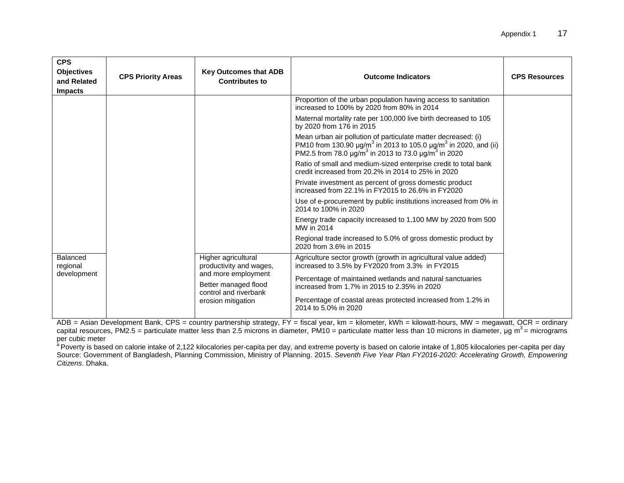| <b>CPS</b><br><b>Objectives</b><br>and Related<br><b>Impacts</b> | <b>CPS Priority Areas</b> | <b>Key Outcomes that ADB</b><br><b>Contributes to</b>                                                                                        | <b>Outcome Indicators</b>                                                                                                                                                                                                                                                                                                                                                                                                                                                                                                                                                                                                                                                                                                                                                                                                                                                                                                                                                      | <b>CPS Resources</b> |
|------------------------------------------------------------------|---------------------------|----------------------------------------------------------------------------------------------------------------------------------------------|--------------------------------------------------------------------------------------------------------------------------------------------------------------------------------------------------------------------------------------------------------------------------------------------------------------------------------------------------------------------------------------------------------------------------------------------------------------------------------------------------------------------------------------------------------------------------------------------------------------------------------------------------------------------------------------------------------------------------------------------------------------------------------------------------------------------------------------------------------------------------------------------------------------------------------------------------------------------------------|----------------------|
|                                                                  |                           |                                                                                                                                              | Proportion of the urban population having access to sanitation<br>increased to 100% by 2020 from 80% in 2014<br>Maternal mortality rate per 100,000 live birth decreased to 105<br>by 2020 from 176 in 2015<br>Mean urban air pollution of particulate matter decreased: (i)<br>PM10 from 130.90 $\mu$ g/m <sup>3</sup> in 2013 to 105.0 $\mu$ g/m <sup>3</sup> in 2020, and (ii)<br>PM2.5 from 78.0 µg/m <sup>3</sup> in 2013 to 73.0 µg/m <sup>3</sup> in 2020<br>Ratio of small and medium-sized enterprise credit to total bank<br>credit increased from 20.2% in 2014 to 25% in 2020<br>Private investment as percent of gross domestic product<br>increased from 22.1% in FY2015 to 26.6% in FY2020<br>Use of e-procurement by public institutions increased from 0% in<br>2014 to 100% in 2020<br>Energy trade capacity increased to 1,100 MW by 2020 from 500<br>MW in 2014<br>Regional trade increased to 5.0% of gross domestic product by<br>2020 from 3.6% in 2015 |                      |
| Balanced<br>regional<br>development                              |                           | Higher agricultural<br>productivity and wages,<br>and more employment<br>Better managed flood<br>control and riverbank<br>erosion mitigation | Agriculture sector growth (growth in agricultural value added)<br>increased to 3.5% by FY2020 from 3.3% in FY2015<br>Percentage of maintained wetlands and natural sanctuaries<br>increased from 1.7% in 2015 to 2.35% in 2020<br>Percentage of coastal areas protected increased from 1.2% in<br>2014 to 5.0% in 2020                                                                                                                                                                                                                                                                                                                                                                                                                                                                                                                                                                                                                                                         |                      |

ADB = Asian Development Bank, CPS = country partnership strategy, FY = fiscal year, km = kilometer, kWh = kilowatt-hours, MW = megawatt, QCR = ordinary capital resources, PM2.5 = particulate matter less than 2.5 microns in diameter, PM10 = particulate matter less than 10 microns in diameter, µg m<sup>3</sup> = micrograms per cubic meter

<sup>a</sup> Poverty is based on calorie intake of 2,122 kilocalories per-capita per day, and extreme poverty is based on calorie intake of 1,805 kilocalories per-capita per day Source: Government of Bangladesh, Planning Commission, Ministry of Planning. 2015. *Seventh Five Year Plan FY2016-2020: Accelerating Growth, Empowering Citizens*. Dhaka.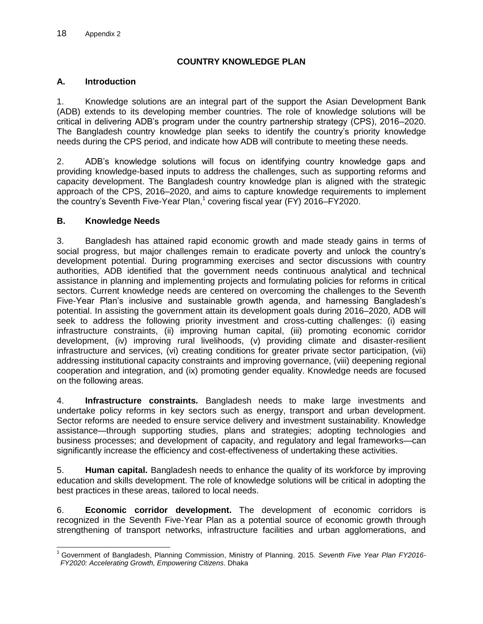### **COUNTRY KNOWLEDGE PLAN**

#### <span id="page-21-0"></span>**A. Introduction**

1. Knowledge solutions are an integral part of the support the Asian Development Bank (ADB) extends to its developing member countries. The role of knowledge solutions will be critical in delivering ADB's program under the country partnership strategy (CPS), 2016–2020. The Bangladesh country knowledge plan seeks to identify the country's priority knowledge needs during the CPS period, and indicate how ADB will contribute to meeting these needs.

2. ADB's knowledge solutions will focus on identifying country knowledge gaps and providing knowledge-based inputs to address the challenges, such as supporting reforms and capacity development. The Bangladesh country knowledge plan is aligned with the strategic approach of the CPS, 2016–2020, and aims to capture knowledge requirements to implement the country's Seventh Five-Year Plan, $1$  covering fiscal year (FY) 2016–FY2020.

#### **B. Knowledge Needs**

3. Bangladesh has attained rapid economic growth and made steady gains in terms of social progress, but major challenges remain to eradicate poverty and unlock the country's development potential. During programming exercises and sector discussions with country authorities, ADB identified that the government needs continuous analytical and technical assistance in planning and implementing projects and formulating policies for reforms in critical sectors. Current knowledge needs are centered on overcoming the challenges to the Seventh Five-Year Plan's inclusive and sustainable growth agenda, and harnessing Bangladesh's potential. In assisting the government attain its development goals during 2016–2020, ADB will seek to address the following priority investment and cross-cutting challenges: (i) easing infrastructure constraints, (ii) improving human capital, (iii) promoting economic corridor development, (iv) improving rural livelihoods, (v) providing climate and disaster-resilient infrastructure and services, (vi) creating conditions for greater private sector participation, (vii) addressing institutional capacity constraints and improving governance, (viii) deepening regional cooperation and integration, and (ix) promoting gender equality. Knowledge needs are focused on the following areas.

4. **Infrastructure constraints.** Bangladesh needs to make large investments and undertake policy reforms in key sectors such as energy, transport and urban development. Sector reforms are needed to ensure service delivery and investment sustainability. Knowledge assistance—through supporting studies, plans and strategies; adopting technologies and business processes; and development of capacity, and regulatory and legal frameworks—can significantly increase the efficiency and cost-effectiveness of undertaking these activities.

5. **Human capital.** Bangladesh needs to enhance the quality of its workforce by improving education and skills development. The role of knowledge solutions will be critical in adopting the best practices in these areas, tailored to local needs.

6. **Economic corridor development.** The development of economic corridors is recognized in the Seventh Five-Year Plan as a potential source of economic growth through strengthening of transport networks, infrastructure facilities and urban agglomerations, and

 $\overline{a}$ <sup>1</sup> Government of Bangladesh, Planning Commission, Ministry of Planning. 2015. *Seventh Five Year Plan FY2016- FY2020: Accelerating Growth, Empowering Citizens*. Dhaka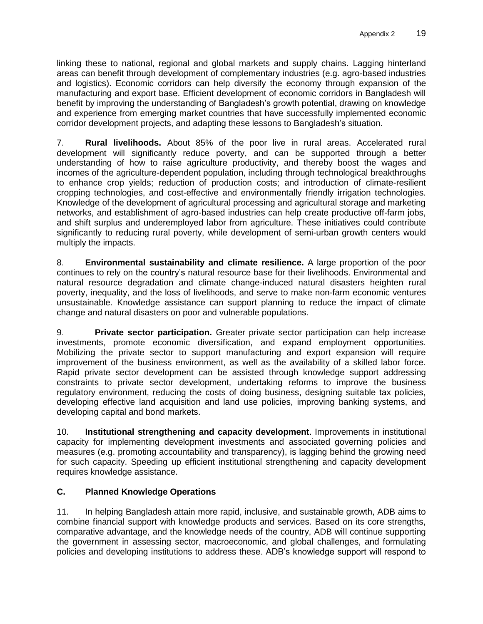linking these to national, regional and global markets and supply chains. Lagging hinterland areas can benefit through development of complementary industries (e.g. agro-based industries and logistics). Economic corridors can help diversify the economy through expansion of the manufacturing and export base. Efficient development of economic corridors in Bangladesh will benefit by improving the understanding of Bangladesh's growth potential, drawing on knowledge and experience from emerging market countries that have successfully implemented economic corridor development projects, and adapting these lessons to Bangladesh's situation.

7. **Rural livelihoods.** About 85% of the poor live in rural areas. Accelerated rural development will significantly reduce poverty, and can be supported through a better understanding of how to raise agriculture productivity, and thereby boost the wages and incomes of the agriculture-dependent population, including through technological breakthroughs to enhance crop yields; reduction of production costs; and introduction of climate-resilient cropping technologies, and cost-effective and environmentally friendly irrigation technologies. Knowledge of the development of agricultural processing and agricultural storage and marketing networks, and establishment of agro-based industries can help create productive off-farm jobs, and shift surplus and underemployed labor from agriculture. These initiatives could contribute significantly to reducing rural poverty, while development of semi-urban growth centers would multiply the impacts.

8. **Environmental sustainability and climate resilience.** A large proportion of the poor continues to rely on the country's natural resource base for their livelihoods. Environmental and natural resource degradation and climate change-induced natural disasters heighten rural poverty, inequality, and the loss of livelihoods, and serve to make non-farm economic ventures unsustainable. Knowledge assistance can support planning to reduce the impact of climate change and natural disasters on poor and vulnerable populations.

9. **Private sector participation.** Greater private sector participation can help increase investments, promote economic diversification, and expand employment opportunities. Mobilizing the private sector to support manufacturing and export expansion will require improvement of the business environment, as well as the availability of a skilled labor force. Rapid private sector development can be assisted through knowledge support addressing constraints to private sector development, undertaking reforms to improve the business regulatory environment, reducing the costs of doing business, designing suitable tax policies, developing effective land acquisition and land use policies, improving banking systems, and developing capital and bond markets.

10. **Institutional strengthening and capacity development**. Improvements in institutional capacity for implementing development investments and associated governing policies and measures (e.g. promoting accountability and transparency), is lagging behind the growing need for such capacity. Speeding up efficient institutional strengthening and capacity development requires knowledge assistance.

# **C. Planned Knowledge Operations**

11. In helping Bangladesh attain more rapid, inclusive, and sustainable growth, ADB aims to combine financial support with knowledge products and services. Based on its core strengths, comparative advantage, and the knowledge needs of the country, ADB will continue supporting the government in assessing sector, macroeconomic, and global challenges, and formulating policies and developing institutions to address these. ADB's knowledge support will respond to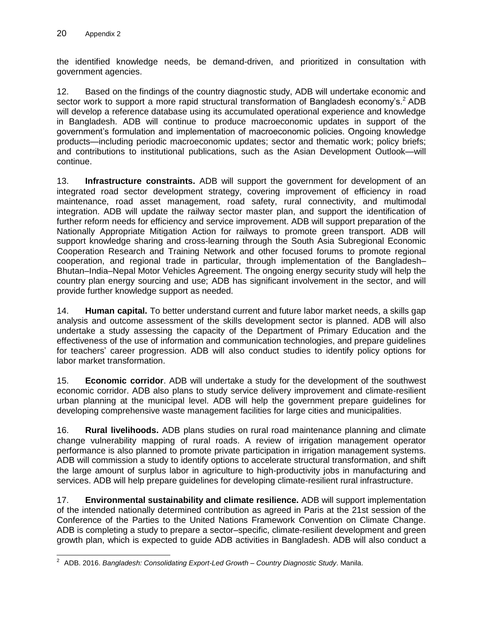the identified knowledge needs, be demand-driven, and prioritized in consultation with government agencies.

12. Based on the findings of the country diagnostic study, ADB will undertake economic and sector work to support a more rapid structural transformation of Bangladesh economy's.<sup>2</sup> ADB will develop a reference database using its accumulated operational experience and knowledge in Bangladesh. ADB will continue to produce macroeconomic updates in support of the government's formulation and implementation of macroeconomic policies. Ongoing knowledge products—including periodic macroeconomic updates; sector and thematic work; policy briefs; and contributions to institutional publications, such as the Asian Development Outlook—will continue.

13. **Infrastructure constraints.** ADB will support the government for development of an integrated road sector development strategy, covering improvement of efficiency in road maintenance, road asset management, road safety, rural connectivity, and multimodal integration. ADB will update the railway sector master plan, and support the identification of further reform needs for efficiency and service improvement. ADB will support preparation of the Nationally Appropriate Mitigation Action for railways to promote green transport. ADB will support knowledge sharing and cross-learning through the South Asia Subregional Economic Cooperation Research and Training Network and other focused forums to promote regional cooperation, and regional trade in particular, through implementation of the Bangladesh– Bhutan–India–Nepal Motor Vehicles Agreement. The ongoing energy security study will help the country plan energy sourcing and use; ADB has significant involvement in the sector, and will provide further knowledge support as needed.

14. **Human capital.** To better understand current and future labor market needs, a skills gap analysis and outcome assessment of the skills development sector is planned. ADB will also undertake a study assessing the capacity of the Department of Primary Education and the effectiveness of the use of information and communication technologies, and prepare guidelines for teachers' career progression. ADB will also conduct studies to identify policy options for labor market transformation.

15. **Economic corridor**. ADB will undertake a study for the development of the southwest economic corridor. ADB also plans to study service delivery improvement and climate-resilient urban planning at the municipal level. ADB will help the government prepare guidelines for developing comprehensive waste management facilities for large cities and municipalities.

16. **Rural livelihoods.** ADB plans studies on rural road maintenance planning and climate change vulnerability mapping of rural roads. A review of irrigation management operator performance is also planned to promote private participation in irrigation management systems. ADB will commission a study to identify options to accelerate structural transformation, and shift the large amount of surplus labor in agriculture to high-productivity jobs in manufacturing and services. ADB will help prepare guidelines for developing climate-resilient rural infrastructure.

17. **Environmental sustainability and climate resilience.** ADB will support implementation of the intended nationally determined contribution as agreed in Paris at the 21st session of the Conference of the Parties to the United Nations Framework Convention on Climate Change. ADB is completing a study to prepare a sector–specific, climate-resilient development and green growth plan, which is expected to guide ADB activities in Bangladesh. ADB will also conduct a

 2 ADB. 2016. *Bangladesh: Consolidating Export-Led Growth* – *Country Diagnostic Study*. Manila.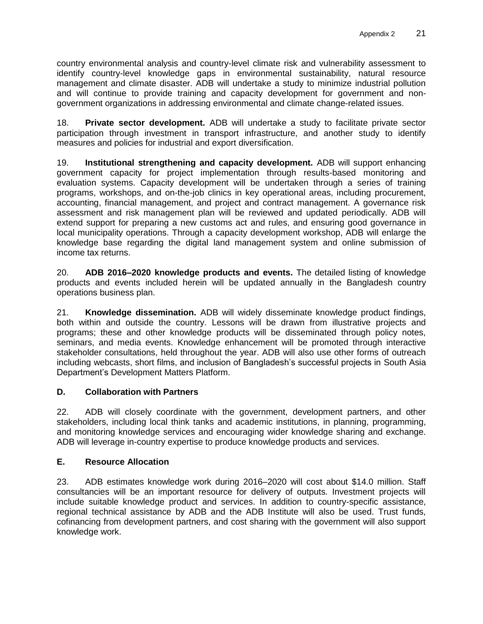country environmental analysis and country-level climate risk and vulnerability assessment to identify country-level knowledge gaps in environmental sustainability, natural resource management and climate disaster. ADB will undertake a study to minimize industrial pollution and will continue to provide training and capacity development for government and nongovernment organizations in addressing environmental and climate change-related issues.

18. **Private sector development.** ADB will undertake a study to facilitate private sector participation through investment in transport infrastructure, and another study to identify measures and policies for industrial and export diversification.

19. **Institutional strengthening and capacity development.** ADB will support enhancing government capacity for project implementation through results-based monitoring and evaluation systems. Capacity development will be undertaken through a series of training programs, workshops, and on-the-job clinics in key operational areas, including procurement, accounting, financial management, and project and contract management. A governance risk assessment and risk management plan will be reviewed and updated periodically. ADB will extend support for preparing a new customs act and rules, and ensuring good governance in local municipality operations. Through a capacity development workshop, ADB will enlarge the knowledge base regarding the digital land management system and online submission of income tax returns.

20. **ADB 2016–2020 knowledge products and events.** The detailed listing of knowledge products and events included herein will be updated annually in the Bangladesh country operations business plan.

21. **Knowledge dissemination.** ADB will widely disseminate knowledge product findings, both within and outside the country. Lessons will be drawn from illustrative projects and programs; these and other knowledge products will be disseminated through policy notes, seminars, and media events. Knowledge enhancement will be promoted through interactive stakeholder consultations, held throughout the year. ADB will also use other forms of outreach including webcasts, short films, and inclusion of Bangladesh's successful projects in South Asia Department's Development Matters Platform.

# **D. Collaboration with Partners**

22. ADB will closely coordinate with the government, development partners, and other stakeholders, including local think tanks and academic institutions, in planning, programming, and monitoring knowledge services and encouraging wider knowledge sharing and exchange. ADB will leverage in-country expertise to produce knowledge products and services.

# **E. Resource Allocation**

23. ADB estimates knowledge work during 2016–2020 will cost about \$14.0 million. Staff consultancies will be an important resource for delivery of outputs. Investment projects will include suitable knowledge product and services. In addition to country-specific assistance, regional technical assistance by ADB and the ADB Institute will also be used. Trust funds, cofinancing from development partners, and cost sharing with the government will also support knowledge work.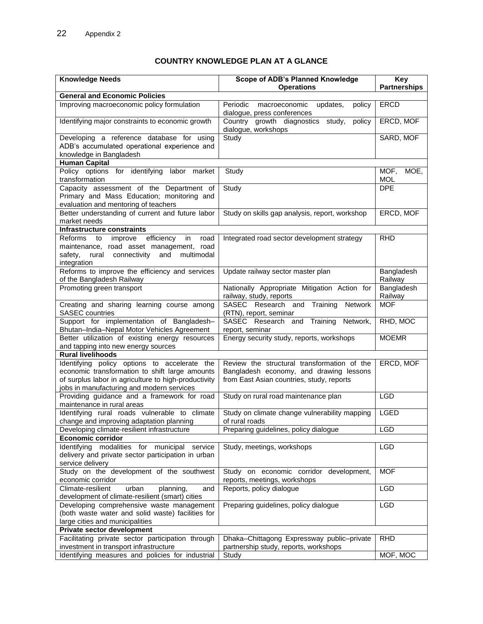# **COUNTRY KNOWLEDGE PLAN AT A GLANCE**

| <b>Knowledge Needs</b>                                                                        | <b>Scope of ADB's Planned Knowledge</b>                                        | Key                        |
|-----------------------------------------------------------------------------------------------|--------------------------------------------------------------------------------|----------------------------|
|                                                                                               | <b>Operations</b>                                                              | <b>Partnerships</b>        |
| <b>General and Economic Policies</b>                                                          |                                                                                |                            |
| Improving macroeconomic policy formulation                                                    | Periodic<br>updates,<br>macroeconomic<br>policy<br>dialogue, press conferences | <b>ERCD</b>                |
| Identifying major constraints to economic growth                                              | Country growth diagnostics study,<br>policy<br>dialogue, workshops             | ERCD, MOF                  |
| Developing a reference database for using                                                     | Study                                                                          | SARD, MOF                  |
| ADB's accumulated operational experience and                                                  |                                                                                |                            |
| knowledge in Bangladesh                                                                       |                                                                                |                            |
| <b>Human Capital</b>                                                                          |                                                                                |                            |
| Policy options for identifying labor market<br>transformation                                 | Study                                                                          | MOF,<br>MOE,<br><b>MOL</b> |
| Capacity assessment of the Department of                                                      | Study                                                                          | <b>DPE</b>                 |
| Primary and Mass Education; monitoring and                                                    |                                                                                |                            |
| evaluation and mentoring of teachers                                                          |                                                                                |                            |
| Better understanding of current and future labor                                              | Study on skills gap analysis, report, workshop                                 | ERCD, MOF                  |
| market needs                                                                                  |                                                                                |                            |
| <b>Infrastructure constraints</b>                                                             |                                                                                |                            |
| efficiency<br>Reforms to<br>improve<br>in<br>road<br>maintenance, road asset management, road | Integrated road sector development strategy                                    | <b>RHD</b>                 |
| safety,<br>rural connectivity<br>and<br>multimodal                                            |                                                                                |                            |
| integration                                                                                   |                                                                                |                            |
| Reforms to improve the efficiency and services                                                | Update railway sector master plan                                              | Bangladesh                 |
| of the Bangladesh Railway                                                                     |                                                                                | Railway                    |
| Promoting green transport                                                                     | Nationally Appropriate Mitigation Action for                                   | Bangladesh                 |
|                                                                                               | railway, study, reports                                                        | Railway                    |
| Creating and sharing learning course among                                                    | SASEC Research and Training<br>Network                                         | <b>MOF</b>                 |
| <b>SASEC</b> countries                                                                        | (RTN), report, seminar                                                         |                            |
| Support for implementation of Bangladesh-<br>Bhutan-India-Nepal Motor Vehicles Agreement      | Network,<br>SASEC Research and Training<br>report, seminar                     | RHD, MOC                   |
| Better utilization of existing energy resources                                               | Energy security study, reports, workshops                                      | <b>MOEMR</b>               |
| and tapping into new energy sources                                                           |                                                                                |                            |
| <b>Rural livelihoods</b>                                                                      |                                                                                |                            |
| Identifying policy options to accelerate the                                                  | Review the structural transformation of the                                    | ERCD, MOF                  |
| economic transformation to shift large amounts                                                | Bangladesh economy, and drawing lessons                                        |                            |
| of surplus labor in agriculture to high-productivity                                          | from East Asian countries, study, reports                                      |                            |
| jobs in manufacturing and modern services                                                     |                                                                                |                            |
| Providing guidance and a framework for road                                                   | Study on rural road maintenance plan                                           | <b>LGD</b>                 |
| maintenance in rural areas                                                                    |                                                                                |                            |
| Identifying rural roads vulnerable to climate<br>change and improving adaptation planning     | Study on climate change vulnerability mapping<br>of rural roads                | <b>LGED</b>                |
| Developing climate-resilient infrastructure                                                   | Preparing guidelines, policy dialogue                                          | <b>LGD</b>                 |
| Economic corridor                                                                             |                                                                                |                            |
| modalities for municipal<br>Identifying<br>service                                            | Study, meetings, workshops                                                     | <b>LGD</b>                 |
| delivery and private sector participation in urban                                            |                                                                                |                            |
| service delivery                                                                              |                                                                                |                            |
| Study on the development of the southwest                                                     | Study on economic corridor development,                                        | <b>MOF</b>                 |
| economic corridor                                                                             | reports, meetings, workshops                                                   |                            |
| Climate-resilient<br>urban<br>planning,<br>and                                                | Reports, policy dialogue                                                       | <b>LGD</b>                 |
| development of climate-resilient (smart) cities                                               |                                                                                |                            |
| Developing comprehensive waste management                                                     | Preparing guidelines, policy dialogue                                          | <b>LGD</b>                 |
| (both waste water and solid waste) facilities for                                             |                                                                                |                            |
| large cities and municipalities                                                               |                                                                                |                            |
| Private sector development                                                                    |                                                                                |                            |
| Facilitating private sector participation through                                             | Dhaka-Chittagong Expressway public-private                                     | <b>RHD</b>                 |
| investment in transport infrastructure                                                        | partnership study, reports, workshops                                          |                            |
| Identifying measures and policies for industrial                                              | Study                                                                          | MOF, MOC                   |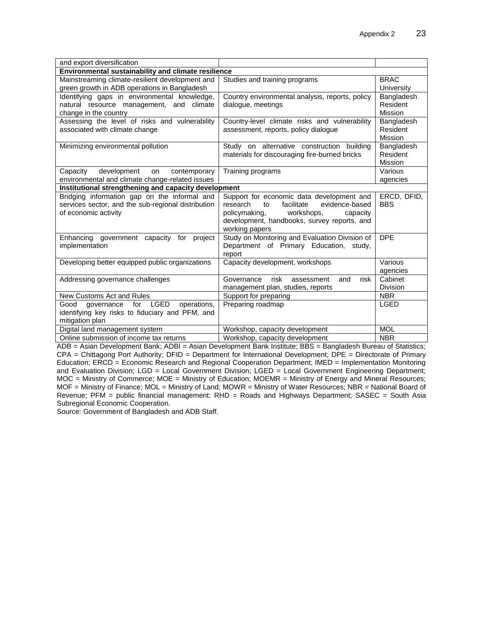| and export diversification                                                                                                 |                                                                                                                                                                                                         |                                   |  |  |  |
|----------------------------------------------------------------------------------------------------------------------------|---------------------------------------------------------------------------------------------------------------------------------------------------------------------------------------------------------|-----------------------------------|--|--|--|
| Environmental sustainability and climate resilience                                                                        |                                                                                                                                                                                                         |                                   |  |  |  |
| Mainstreaming climate-resilient development and<br>green growth in ADB operations in Bangladesh                            | Studies and training programs                                                                                                                                                                           | <b>BRAC</b><br>University         |  |  |  |
| Identifying gaps in environmental knowledge,<br>natural resource management, and climate<br>change in the country          | Country environmental analysis, reports, policy<br>dialogue, meetings                                                                                                                                   | Bangladesh<br>Resident<br>Mission |  |  |  |
| Assessing the level of risks and vulnerability<br>associated with climate change                                           | Country-level climate risks and vulnerability<br>assessment, reports, policy dialogue                                                                                                                   | Bangladesh<br>Resident<br>Mission |  |  |  |
| Minimizing environmental pollution                                                                                         | Study on alternative construction building<br>materials for discouraging fire-burned bricks                                                                                                             | Bangladesh<br>Resident<br>Mission |  |  |  |
| development<br>Capacity<br>on<br>contemporary<br>environmental and climate change-related issues                           | Training programs                                                                                                                                                                                       | Various<br>agencies               |  |  |  |
| Institutional strengthening and capacity development                                                                       |                                                                                                                                                                                                         |                                   |  |  |  |
| Bridging information gap on the informal and<br>services sector, and the sub-regional distribution<br>of economic activity | Support for economic data development and<br>facilitate<br>research<br>evidence-based<br>to<br>policymaking,<br>workshops,<br>capacity<br>development, handbooks, survey reports, and<br>working papers | ERCD, DFID,<br><b>BBS</b>         |  |  |  |
| Enhancing government capacity for project<br>implementation                                                                | Study on Monitoring and Evaluation Division of<br>Department of Primary Education, study,<br>report                                                                                                     | <b>DPE</b>                        |  |  |  |
| Developing better equipped public organizations                                                                            | Capacity development, workshops                                                                                                                                                                         | Various<br>agencies               |  |  |  |
| Addressing governance challenges                                                                                           | risk<br>risk<br>Governance<br>and<br>assessment<br>management plan, studies, reports                                                                                                                    | Cabinet<br>Division               |  |  |  |
| New Customs Act and Rules                                                                                                  | Support for preparing                                                                                                                                                                                   | <b>NBR</b>                        |  |  |  |
| governance for LGED<br>Good<br>operations.<br>identifying key risks to fiduciary and PFM, and<br>mitigation plan           | Preparing roadmap                                                                                                                                                                                       | LGED                              |  |  |  |
| Digital land management system                                                                                             | Workshop, capacity development                                                                                                                                                                          | <b>MOL</b>                        |  |  |  |
| Online submission of income tax returns                                                                                    | Workshop, capacity development                                                                                                                                                                          | <b>NBR</b>                        |  |  |  |

ADB = Asian Development Bank; ADBI = Asian Development Bank Institute; BBS = Bangladesh Bureau of Statistics; CPA = Chittagong Port Authority; DFID = Department for International Development; DPE = Directorate of Primary Education; ERCD = Economic Research and Regional Cooperation Department; IMED = Implementation Monitoring and Evaluation Division; LGD = Local Government Division; LGED = Local Government Engineering Department; MOC = Ministry of Commerce; MOE = Ministry of Education; MOEMR = Ministry of Energy and Mineral Resources; MOF = Ministry of Finance; MOL = Ministry of Land; MOWR = Ministry of Water Resources; NBR = National Board of Revenue; PFM = public financial management; RHD = Roads and Highways Department; SASEC = South Asia Subregional Economic Cooperation.

Source: Government of Bangladesh and ADB Staff.